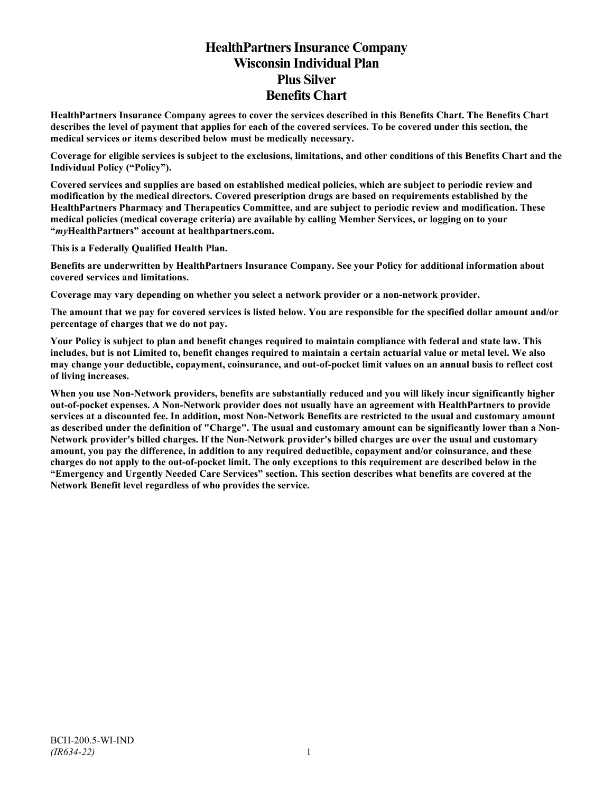# **HealthPartners Insurance Company Wisconsin Individual Plan Plus Silver Benefits Chart**

**HealthPartners Insurance Company agrees to cover the services described in this Benefits Chart. The Benefits Chart describes the level of payment that applies for each of the covered services. To be covered under this section, the medical services or items described below must be medically necessary.**

**Coverage for eligible services is subject to the exclusions, limitations, and other conditions of this Benefits Chart and the Individual Policy ("Policy").**

**Covered services and supplies are based on established medical policies, which are subject to periodic review and modification by the medical directors. Covered prescription drugs are based on requirements established by the HealthPartners Pharmacy and Therapeutics Committee, and are subject to periodic review and modification. These medical policies (medical coverage criteria) are available by calling Member Services, or logging on to your "***my***HealthPartners" account at [healthpartners.com.](http://www.healthpartners.com/)**

**This is a Federally Qualified Health Plan.**

**Benefits are underwritten by HealthPartners Insurance Company. See your Policy for additional information about covered services and limitations.**

**Coverage may vary depending on whether you select a network provider or a non-network provider.**

**The amount that we pay for covered services is listed below. You are responsible for the specified dollar amount and/or percentage of charges that we do not pay.**

**Your Policy is subject to plan and benefit changes required to maintain compliance with federal and state law. This includes, but is not Limited to, benefit changes required to maintain a certain actuarial value or metal level. We also may change your deductible, copayment, coinsurance, and out-of-pocket limit values on an annual basis to reflect cost of living increases.**

**When you use Non-Network providers, benefits are substantially reduced and you will likely incur significantly higher out-of-pocket expenses. A Non-Network provider does not usually have an agreement with HealthPartners to provide services at a discounted fee. In addition, most Non-Network Benefits are restricted to the usual and customary amount as described under the definition of "Charge". The usual and customary amount can be significantly lower than a Non-Network provider's billed charges. If the Non-Network provider's billed charges are over the usual and customary amount, you pay the difference, in addition to any required deductible, copayment and/or coinsurance, and these charges do not apply to the out-of-pocket limit. The only exceptions to this requirement are described below in the "Emergency and Urgently Needed Care Services" section. This section describes what benefits are covered at the Network Benefit level regardless of who provides the service.**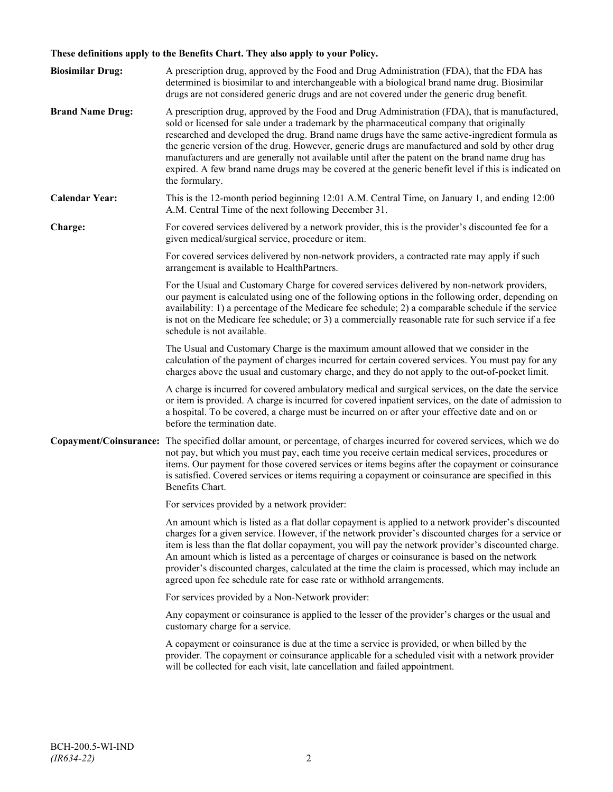## **These definitions apply to the Benefits Chart. They also apply to your Policy.**

| <b>Biosimilar Drug:</b> | A prescription drug, approved by the Food and Drug Administration (FDA), that the FDA has<br>determined is biosimilar to and interchangeable with a biological brand name drug. Biosimilar<br>drugs are not considered generic drugs and are not covered under the generic drug benefit.                                                                                                                                                                                                                                                                                                                                     |
|-------------------------|------------------------------------------------------------------------------------------------------------------------------------------------------------------------------------------------------------------------------------------------------------------------------------------------------------------------------------------------------------------------------------------------------------------------------------------------------------------------------------------------------------------------------------------------------------------------------------------------------------------------------|
| <b>Brand Name Drug:</b> | A prescription drug, approved by the Food and Drug Administration (FDA), that is manufactured,<br>sold or licensed for sale under a trademark by the pharmaceutical company that originally<br>researched and developed the drug. Brand name drugs have the same active-ingredient formula as<br>the generic version of the drug. However, generic drugs are manufactured and sold by other drug<br>manufacturers and are generally not available until after the patent on the brand name drug has<br>expired. A few brand name drugs may be covered at the generic benefit level if this is indicated on<br>the formulary. |
| <b>Calendar Year:</b>   | This is the 12-month period beginning 12:01 A.M. Central Time, on January 1, and ending 12:00<br>A.M. Central Time of the next following December 31.                                                                                                                                                                                                                                                                                                                                                                                                                                                                        |
| Charge:                 | For covered services delivered by a network provider, this is the provider's discounted fee for a<br>given medical/surgical service, procedure or item.                                                                                                                                                                                                                                                                                                                                                                                                                                                                      |
|                         | For covered services delivered by non-network providers, a contracted rate may apply if such<br>arrangement is available to HealthPartners.                                                                                                                                                                                                                                                                                                                                                                                                                                                                                  |
|                         | For the Usual and Customary Charge for covered services delivered by non-network providers,<br>our payment is calculated using one of the following options in the following order, depending on<br>availability: 1) a percentage of the Medicare fee schedule; 2) a comparable schedule if the service<br>is not on the Medicare fee schedule; or 3) a commercially reasonable rate for such service if a fee<br>schedule is not available.                                                                                                                                                                                 |
|                         | The Usual and Customary Charge is the maximum amount allowed that we consider in the<br>calculation of the payment of charges incurred for certain covered services. You must pay for any<br>charges above the usual and customary charge, and they do not apply to the out-of-pocket limit.                                                                                                                                                                                                                                                                                                                                 |
|                         | A charge is incurred for covered ambulatory medical and surgical services, on the date the service<br>or item is provided. A charge is incurred for covered inpatient services, on the date of admission to<br>a hospital. To be covered, a charge must be incurred on or after your effective date and on or<br>before the termination date.                                                                                                                                                                                                                                                                                |
|                         | Copayment/Coinsurance: The specified dollar amount, or percentage, of charges incurred for covered services, which we do<br>not pay, but which you must pay, each time you receive certain medical services, procedures or<br>items. Our payment for those covered services or items begins after the copayment or coinsurance<br>is satisfied. Covered services or items requiring a copayment or coinsurance are specified in this<br>Benefits Chart.                                                                                                                                                                      |
|                         | For services provided by a network provider:                                                                                                                                                                                                                                                                                                                                                                                                                                                                                                                                                                                 |
|                         | An amount which is listed as a flat dollar copayment is applied to a network provider's discounted<br>charges for a given service. However, if the network provider's discounted charges for a service or<br>item is less than the flat dollar copayment, you will pay the network provider's discounted charge.<br>An amount which is listed as a percentage of charges or coinsurance is based on the network<br>provider's discounted charges, calculated at the time the claim is processed, which may include an<br>agreed upon fee schedule rate for case rate or withhold arrangements.                               |
|                         | For services provided by a Non-Network provider:                                                                                                                                                                                                                                                                                                                                                                                                                                                                                                                                                                             |
|                         | Any copayment or coinsurance is applied to the lesser of the provider's charges or the usual and<br>customary charge for a service.                                                                                                                                                                                                                                                                                                                                                                                                                                                                                          |
|                         | A copayment or coinsurance is due at the time a service is provided, or when billed by the<br>provider. The copayment or coinsurance applicable for a scheduled visit with a network provider<br>will be collected for each visit, late cancellation and failed appointment.                                                                                                                                                                                                                                                                                                                                                 |
|                         |                                                                                                                                                                                                                                                                                                                                                                                                                                                                                                                                                                                                                              |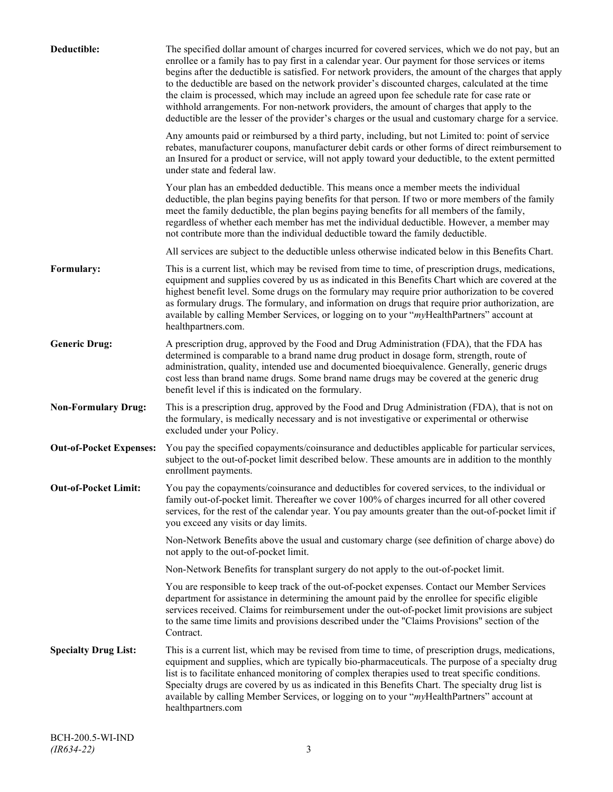| Deductible:                    | The specified dollar amount of charges incurred for covered services, which we do not pay, but an<br>enrollee or a family has to pay first in a calendar year. Our payment for those services or items<br>begins after the deductible is satisfied. For network providers, the amount of the charges that apply<br>to the deductible are based on the network provider's discounted charges, calculated at the time<br>the claim is processed, which may include an agreed upon fee schedule rate for case rate or<br>withhold arrangements. For non-network providers, the amount of charges that apply to the<br>deductible are the lesser of the provider's charges or the usual and customary charge for a service. |
|--------------------------------|-------------------------------------------------------------------------------------------------------------------------------------------------------------------------------------------------------------------------------------------------------------------------------------------------------------------------------------------------------------------------------------------------------------------------------------------------------------------------------------------------------------------------------------------------------------------------------------------------------------------------------------------------------------------------------------------------------------------------|
|                                | Any amounts paid or reimbursed by a third party, including, but not Limited to: point of service<br>rebates, manufacturer coupons, manufacturer debit cards or other forms of direct reimbursement to<br>an Insured for a product or service, will not apply toward your deductible, to the extent permitted<br>under state and federal law.                                                                                                                                                                                                                                                                                                                                                                            |
|                                | Your plan has an embedded deductible. This means once a member meets the individual<br>deductible, the plan begins paying benefits for that person. If two or more members of the family<br>meet the family deductible, the plan begins paying benefits for all members of the family,<br>regardless of whether each member has met the individual deductible. However, a member may<br>not contribute more than the individual deductible toward the family deductible.                                                                                                                                                                                                                                                |
|                                | All services are subject to the deductible unless otherwise indicated below in this Benefits Chart.                                                                                                                                                                                                                                                                                                                                                                                                                                                                                                                                                                                                                     |
| Formulary:                     | This is a current list, which may be revised from time to time, of prescription drugs, medications,<br>equipment and supplies covered by us as indicated in this Benefits Chart which are covered at the<br>highest benefit level. Some drugs on the formulary may require prior authorization to be covered<br>as formulary drugs. The formulary, and information on drugs that require prior authorization, are<br>available by calling Member Services, or logging on to your "myHealthPartners" account at<br>healthpartners.com.                                                                                                                                                                                   |
| <b>Generic Drug:</b>           | A prescription drug, approved by the Food and Drug Administration (FDA), that the FDA has<br>determined is comparable to a brand name drug product in dosage form, strength, route of<br>administration, quality, intended use and documented bioequivalence. Generally, generic drugs<br>cost less than brand name drugs. Some brand name drugs may be covered at the generic drug<br>benefit level if this is indicated on the formulary.                                                                                                                                                                                                                                                                             |
| <b>Non-Formulary Drug:</b>     | This is a prescription drug, approved by the Food and Drug Administration (FDA), that is not on<br>the formulary, is medically necessary and is not investigative or experimental or otherwise<br>excluded under your Policy.                                                                                                                                                                                                                                                                                                                                                                                                                                                                                           |
| <b>Out-of-Pocket Expenses:</b> | You pay the specified copayments/coinsurance and deductibles applicable for particular services,<br>subject to the out-of-pocket limit described below. These amounts are in addition to the monthly<br>enrollment payments.                                                                                                                                                                                                                                                                                                                                                                                                                                                                                            |
| <b>Out-of-Pocket Limit:</b>    | You pay the copayments/coinsurance and deductibles for covered services, to the individual or<br>family out-of-pocket limit. Thereafter we cover 100% of charges incurred for all other covered<br>services, for the rest of the calendar year. You pay amounts greater than the out-of-pocket limit if<br>you exceed any visits or day limits.                                                                                                                                                                                                                                                                                                                                                                         |
|                                | Non-Network Benefits above the usual and customary charge (see definition of charge above) do<br>not apply to the out-of-pocket limit.                                                                                                                                                                                                                                                                                                                                                                                                                                                                                                                                                                                  |
|                                | Non-Network Benefits for transplant surgery do not apply to the out-of-pocket limit.                                                                                                                                                                                                                                                                                                                                                                                                                                                                                                                                                                                                                                    |
|                                | You are responsible to keep track of the out-of-pocket expenses. Contact our Member Services<br>department for assistance in determining the amount paid by the enrollee for specific eligible<br>services received. Claims for reimbursement under the out-of-pocket limit provisions are subject<br>to the same time limits and provisions described under the "Claims Provisions" section of the<br>Contract.                                                                                                                                                                                                                                                                                                        |
| <b>Specialty Drug List:</b>    | This is a current list, which may be revised from time to time, of prescription drugs, medications,<br>equipment and supplies, which are typically bio-pharmaceuticals. The purpose of a specialty drug<br>list is to facilitate enhanced monitoring of complex therapies used to treat specific conditions.<br>Specialty drugs are covered by us as indicated in this Benefits Chart. The specialty drug list is<br>available by calling Member Services, or logging on to your "myHealthPartners" account at<br>healthpartners.com                                                                                                                                                                                    |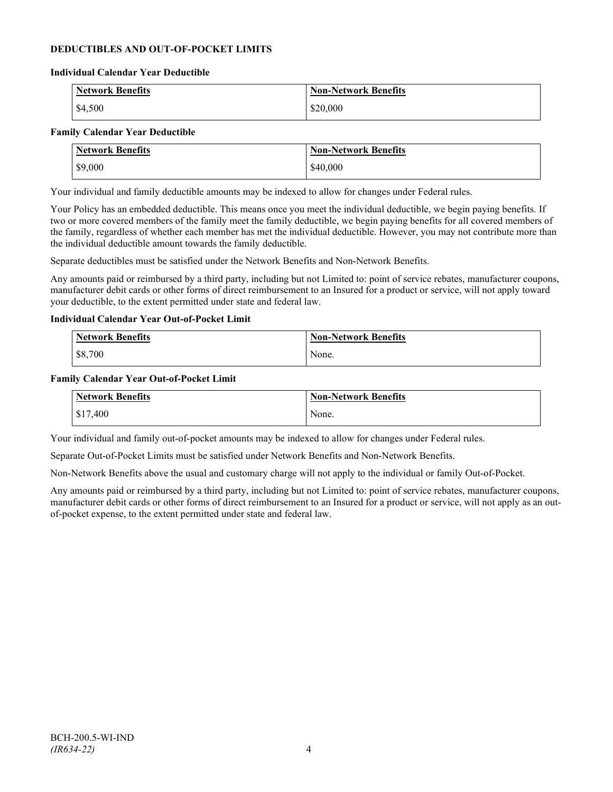## **DEDUCTIBLES AND OUT-OF-POCKET LIMITS**

#### **Individual Calendar Year Deductible**

| <b>Network Benefits</b> | <b>Non-Network Benefits</b> |
|-------------------------|-----------------------------|
| \$4,500                 | \$20,000                    |

#### **Family Calendar Year Deductible**

| <b>Network Benefits</b> | <b>Non-Network Benefits</b> |
|-------------------------|-----------------------------|
| \$9,000                 | \$40,000                    |

Your individual and family deductible amounts may be indexed to allow for changes under Federal rules.

Your Policy has an embedded deductible. This means once you meet the individual deductible, we begin paying benefits. If two or more covered members of the family meet the family deductible, we begin paying benefits for all covered members of the family, regardless of whether each member has met the individual deductible. However, you may not contribute more than the individual deductible amount towards the family deductible.

Separate deductibles must be satisfied under the Network Benefits and Non-Network Benefits.

Any amounts paid or reimbursed by a third party, including but not Limited to: point of service rebates, manufacturer coupons, manufacturer debit cards or other forms of direct reimbursement to an Insured for a product or service, will not apply toward your deductible, to the extent permitted under state and federal law.

#### **Individual Calendar Year Out-of-Pocket Limit**

| <b>Network Benefits</b> | <b>Non-Network Benefits</b> |
|-------------------------|-----------------------------|
| \$8,700                 | None.                       |

#### **Family Calendar Year Out-of-Pocket Limit**

| Network Benefits | Non-Network Benefits |
|------------------|----------------------|
| \$17,400         | None.                |

Your individual and family out-of-pocket amounts may be indexed to allow for changes under Federal rules.

Separate Out-of-Pocket Limits must be satisfied under Network Benefits and Non-Network Benefits.

Non-Network Benefits above the usual and customary charge will not apply to the individual or family Out-of-Pocket.

Any amounts paid or reimbursed by a third party, including but not Limited to: point of service rebates, manufacturer coupons, manufacturer debit cards or other forms of direct reimbursement to an Insured for a product or service, will not apply as an outof-pocket expense, to the extent permitted under state and federal law.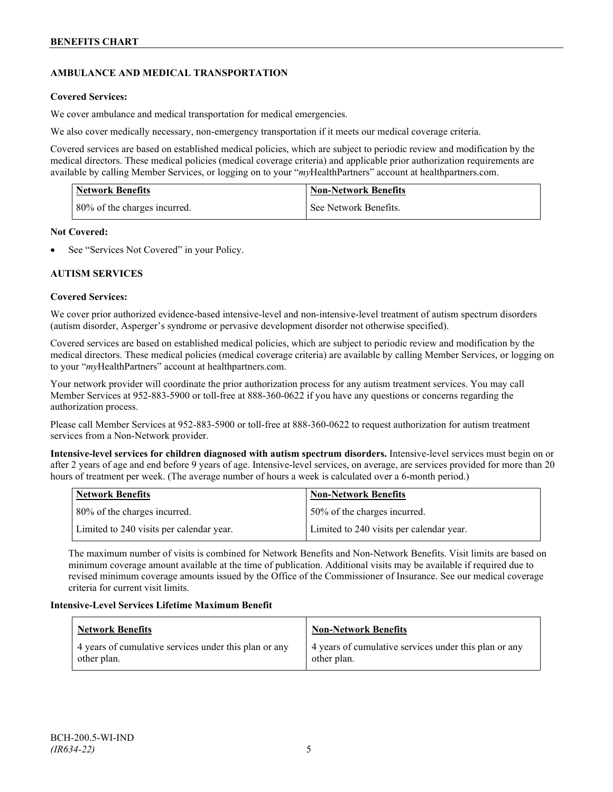## **AMBULANCE AND MEDICAL TRANSPORTATION**

## **Covered Services:**

We cover ambulance and medical transportation for medical emergencies.

We also cover medically necessary, non-emergency transportation if it meets our medical coverage criteria.

Covered services are based on established medical policies, which are subject to periodic review and modification by the medical directors. These medical policies (medical coverage criteria) and applicable prior authorization requirements are available by calling Member Services, or logging on to your "*my*HealthPartners" account a[t healthpartners.com.](http://www.healthpartners.com/)

| <b>Network Benefits</b>      | <b>Non-Network Benefits</b> |
|------------------------------|-----------------------------|
| 80% of the charges incurred. | See Network Benefits.       |

## **Not Covered:**

See "Services Not Covered" in your Policy.

## **AUTISM SERVICES**

## **Covered Services:**

We cover prior authorized evidence-based intensive-level and non-intensive-level treatment of autism spectrum disorders (autism disorder, Asperger's syndrome or pervasive development disorder not otherwise specified).

Covered services are based on established medical policies, which are subject to periodic review and modification by the medical directors. These medical policies (medical coverage criteria) are available by calling Member Services, or logging on to your "*my*HealthPartners" account at [healthpartners.com.](http://www.healthpartners.com/)

Your network provider will coordinate the prior authorization process for any autism treatment services. You may call Member Services at 952-883-5900 or toll-free at 888-360-0622 if you have any questions or concerns regarding the authorization process.

Please call Member Services at 952-883-5900 or toll-free at 888-360-0622 to request authorization for autism treatment services from a Non-Network provider.

**Intensive-level services for children diagnosed with autism spectrum disorders.** Intensive-level services must begin on or after 2 years of age and end before 9 years of age. Intensive-level services, on average, are services provided for more than 20 hours of treatment per week. (The average number of hours a week is calculated over a 6-month period.)

| Network Benefits                         | <b>Non-Network Benefits</b>              |
|------------------------------------------|------------------------------------------|
| 80% of the charges incurred.             | 50% of the charges incurred.             |
| Limited to 240 visits per calendar year. | Limited to 240 visits per calendar year. |

The maximum number of visits is combined for Network Benefits and Non-Network Benefits. Visit limits are based on minimum coverage amount available at the time of publication. Additional visits may be available if required due to revised minimum coverage amounts issued by the Office of the Commissioner of Insurance. See our medical coverage criteria for current visit limits.

## **Intensive-Level Services Lifetime Maximum Benefit**

| Network Benefits                                                     | <b>Non-Network Benefits</b>                                          |
|----------------------------------------------------------------------|----------------------------------------------------------------------|
| 4 years of cumulative services under this plan or any<br>other plan. | 4 years of cumulative services under this plan or any<br>other plan. |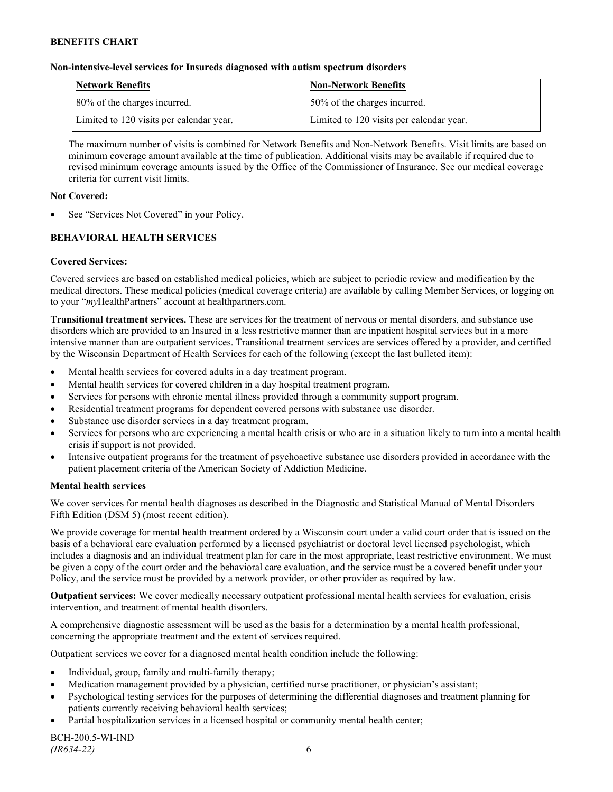### **Non-intensive-level services for Insureds diagnosed with autism spectrum disorders**

| Network Benefits                         | <b>Non-Network Benefits</b>              |
|------------------------------------------|------------------------------------------|
| 80% of the charges incurred.             | 50% of the charges incurred.             |
| Limited to 120 visits per calendar year. | Limited to 120 visits per calendar year. |

The maximum number of visits is combined for Network Benefits and Non-Network Benefits. Visit limits are based on minimum coverage amount available at the time of publication. Additional visits may be available if required due to revised minimum coverage amounts issued by the Office of the Commissioner of Insurance. See our medical coverage criteria for current visit limits.

### **Not Covered:**

See "Services Not Covered" in your Policy.

## **BEHAVIORAL HEALTH SERVICES**

## **Covered Services:**

Covered services are based on established medical policies, which are subject to periodic review and modification by the medical directors. These medical policies (medical coverage criteria) are available by calling Member Services, or logging on to your "*my*HealthPartners" account at [healthpartners.com.](http://www.healthpartners.com/)

**Transitional treatment services.** These are services for the treatment of nervous or mental disorders, and substance use disorders which are provided to an Insured in a less restrictive manner than are inpatient hospital services but in a more intensive manner than are outpatient services. Transitional treatment services are services offered by a provider, and certified by the Wisconsin Department of Health Services for each of the following (except the last bulleted item):

- Mental health services for covered adults in a day treatment program.
- Mental health services for covered children in a day hospital treatment program.
- Services for persons with chronic mental illness provided through a community support program.
- Residential treatment programs for dependent covered persons with substance use disorder.
- Substance use disorder services in a day treatment program.
- Services for persons who are experiencing a mental health crisis or who are in a situation likely to turn into a mental health crisis if support is not provided.
- Intensive outpatient programs for the treatment of psychoactive substance use disorders provided in accordance with the patient placement criteria of the American Society of Addiction Medicine.

## **Mental health services**

We cover services for mental health diagnoses as described in the Diagnostic and Statistical Manual of Mental Disorders – Fifth Edition (DSM 5) (most recent edition).

We provide coverage for mental health treatment ordered by a Wisconsin court under a valid court order that is issued on the basis of a behavioral care evaluation performed by a licensed psychiatrist or doctoral level licensed psychologist, which includes a diagnosis and an individual treatment plan for care in the most appropriate, least restrictive environment. We must be given a copy of the court order and the behavioral care evaluation, and the service must be a covered benefit under your Policy, and the service must be provided by a network provider, or other provider as required by law.

**Outpatient services:** We cover medically necessary outpatient professional mental health services for evaluation, crisis intervention, and treatment of mental health disorders.

A comprehensive diagnostic assessment will be used as the basis for a determination by a mental health professional, concerning the appropriate treatment and the extent of services required.

Outpatient services we cover for a diagnosed mental health condition include the following:

- Individual, group, family and multi-family therapy;
- Medication management provided by a physician, certified nurse practitioner, or physician's assistant;
- Psychological testing services for the purposes of determining the differential diagnoses and treatment planning for patients currently receiving behavioral health services;
- Partial hospitalization services in a licensed hospital or community mental health center;

BCH-200.5-WI-IND *(IR634-22)* 6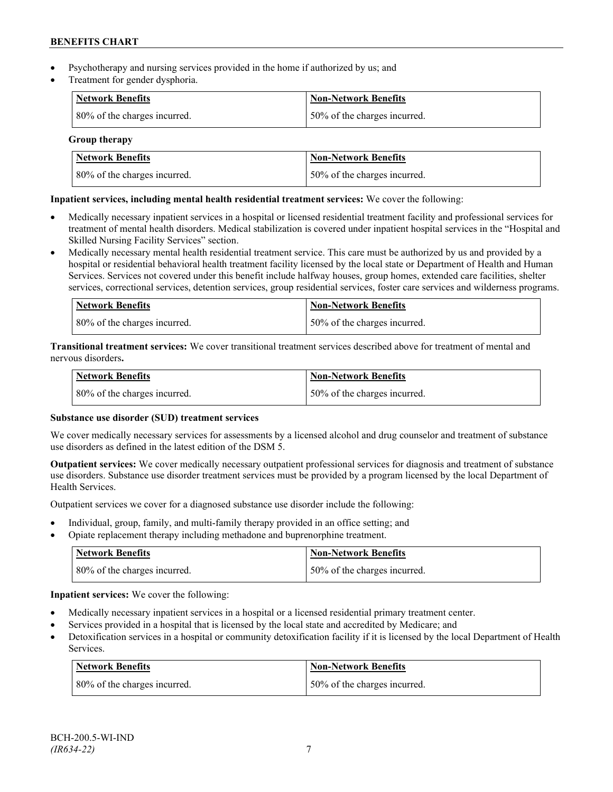- Psychotherapy and nursing services provided in the home if authorized by us; and
- Treatment for gender dysphoria.

| <b>Network Benefits</b>      | <b>Non-Network Benefits</b>  |
|------------------------------|------------------------------|
| 80% of the charges incurred. | 50% of the charges incurred. |

**Group therapy**

| Network Benefits             | <b>Non-Network Benefits</b>   |
|------------------------------|-------------------------------|
| 80% of the charges incurred. | 150% of the charges incurred. |

## **Inpatient services, including mental health residential treatment services:** We cover the following:

- Medically necessary inpatient services in a hospital or licensed residential treatment facility and professional services for treatment of mental health disorders. Medical stabilization is covered under inpatient hospital services in the "Hospital and Skilled Nursing Facility Services" section.
- Medically necessary mental health residential treatment service. This care must be authorized by us and provided by a hospital or residential behavioral health treatment facility licensed by the local state or Department of Health and Human Services. Services not covered under this benefit include halfway houses, group homes, extended care facilities, shelter services, correctional services, detention services, group residential services, foster care services and wilderness programs.

| Network Benefits             | Non-Network Benefits         |
|------------------------------|------------------------------|
| 80% of the charges incurred. | 50% of the charges incurred. |

**Transitional treatment services:** We cover transitional treatment services described above for treatment of mental and nervous disorders**.**

| <b>Network Benefits</b>      | <b>Non-Network Benefits</b>  |
|------------------------------|------------------------------|
| 80% of the charges incurred. | 50% of the charges incurred. |

## **Substance use disorder (SUD) treatment services**

We cover medically necessary services for assessments by a licensed alcohol and drug counselor and treatment of substance use disorders as defined in the latest edition of the DSM 5.

**Outpatient services:** We cover medically necessary outpatient professional services for diagnosis and treatment of substance use disorders. Substance use disorder treatment services must be provided by a program licensed by the local Department of Health Services.

Outpatient services we cover for a diagnosed substance use disorder include the following:

- Individual, group, family, and multi-family therapy provided in an office setting; and
- Opiate replacement therapy including methadone and buprenorphine treatment.

| <b>Network Benefits</b>      | <b>Non-Network Benefits</b>   |
|------------------------------|-------------------------------|
| 80% of the charges incurred. | 150% of the charges incurred. |

**Inpatient services:** We cover the following:

- Medically necessary inpatient services in a hospital or a licensed residential primary treatment center.
- Services provided in a hospital that is licensed by the local state and accredited by Medicare; and
- Detoxification services in a hospital or community detoxification facility if it is licensed by the local Department of Health Services.

| Network Benefits             | <b>Non-Network Benefits</b>  |
|------------------------------|------------------------------|
| 80% of the charges incurred. | 50% of the charges incurred. |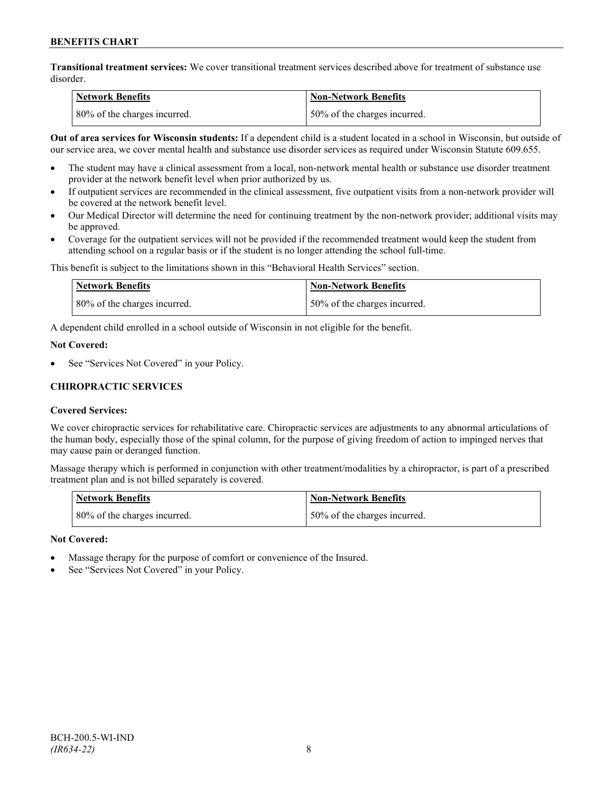**Transitional treatment services:** We cover transitional treatment services described above for treatment of substance use disorder.

| Network Benefits             | Non-Network Benefits         |
|------------------------------|------------------------------|
| 80% of the charges incurred. | 50% of the charges incurred. |

**Out of area services for Wisconsin students:** If a dependent child is a student located in a school in Wisconsin, but outside of our service area, we cover mental health and substance use disorder services as required under Wisconsin Statute 609.655.

- The student may have a clinical assessment from a local, non-network mental health or substance use disorder treatment provider at the network benefit level when prior authorized by us.
- If outpatient services are recommended in the clinical assessment, five outpatient visits from a non-network provider will be covered at the network benefit level.
- Our Medical Director will determine the need for continuing treatment by the non-network provider; additional visits may be approved.
- Coverage for the outpatient services will not be provided if the recommended treatment would keep the student from attending school on a regular basis or if the student is no longer attending the school full-time.

This benefit is subject to the limitations shown in this "Behavioral Health Services" section.

| Network Benefits             | Non-Network Benefits         |
|------------------------------|------------------------------|
| 80% of the charges incurred. | 50% of the charges incurred. |

A dependent child enrolled in a school outside of Wisconsin in not eligible for the benefit.

#### **Not Covered:**

See "Services Not Covered" in your Policy.

## **CHIROPRACTIC SERVICES**

## **Covered Services:**

We cover chiropractic services for rehabilitative care. Chiropractic services are adjustments to any abnormal articulations of the human body, especially those of the spinal column, for the purpose of giving freedom of action to impinged nerves that may cause pain or deranged function.

Massage therapy which is performed in conjunction with other treatment/modalities by a chiropractor, is part of a prescribed treatment plan and is not billed separately is covered.

| <b>Network Benefits</b>      | Non-Network Benefits         |
|------------------------------|------------------------------|
| 80% of the charges incurred. | 50% of the charges incurred. |

## **Not Covered:**

- Massage therapy for the purpose of comfort or convenience of the Insured.
- See "Services Not Covered" in your Policy.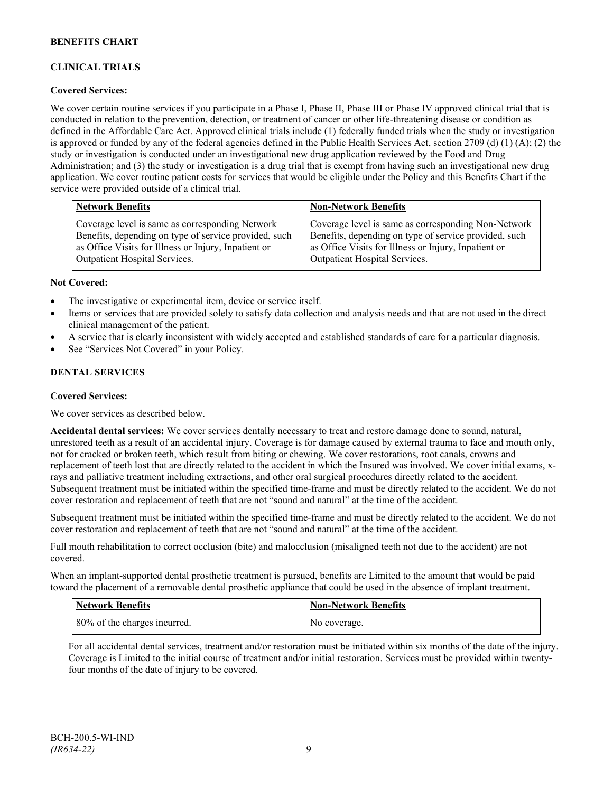## **CLINICAL TRIALS**

## **Covered Services:**

We cover certain routine services if you participate in a Phase I, Phase II, Phase III or Phase IV approved clinical trial that is conducted in relation to the prevention, detection, or treatment of cancer or other life-threatening disease or condition as defined in the Affordable Care Act. Approved clinical trials include (1) federally funded trials when the study or investigation is approved or funded by any of the federal agencies defined in the Public Health Services Act, section 2709 (d) (1) (A); (2) the study or investigation is conducted under an investigational new drug application reviewed by the Food and Drug Administration; and (3) the study or investigation is a drug trial that is exempt from having such an investigational new drug application. We cover routine patient costs for services that would be eligible under the Policy and this Benefits Chart if the service were provided outside of a clinical trial.

| <b>Network Benefits</b>                               | <b>Non-Network Benefits</b>                           |
|-------------------------------------------------------|-------------------------------------------------------|
| Coverage level is same as corresponding Network       | Coverage level is same as corresponding Non-Network   |
| Benefits, depending on type of service provided, such | Benefits, depending on type of service provided, such |
| as Office Visits for Illness or Injury, Inpatient or  | as Office Visits for Illness or Injury, Inpatient or  |
| <b>Outpatient Hospital Services.</b>                  | Outpatient Hospital Services.                         |

#### **Not Covered:**

- The investigative or experimental item, device or service itself.
- Items or services that are provided solely to satisfy data collection and analysis needs and that are not used in the direct clinical management of the patient.
- A service that is clearly inconsistent with widely accepted and established standards of care for a particular diagnosis.
- See "Services Not Covered" in your Policy.

## **DENTAL SERVICES**

#### **Covered Services:**

We cover services as described below.

**Accidental dental services:** We cover services dentally necessary to treat and restore damage done to sound, natural, unrestored teeth as a result of an accidental injury. Coverage is for damage caused by external trauma to face and mouth only, not for cracked or broken teeth, which result from biting or chewing. We cover restorations, root canals, crowns and replacement of teeth lost that are directly related to the accident in which the Insured was involved. We cover initial exams, xrays and palliative treatment including extractions, and other oral surgical procedures directly related to the accident. Subsequent treatment must be initiated within the specified time-frame and must be directly related to the accident. We do not cover restoration and replacement of teeth that are not "sound and natural" at the time of the accident.

Subsequent treatment must be initiated within the specified time-frame and must be directly related to the accident. We do not cover restoration and replacement of teeth that are not "sound and natural" at the time of the accident.

Full mouth rehabilitation to correct occlusion (bite) and malocclusion (misaligned teeth not due to the accident) are not covered.

When an implant-supported dental prosthetic treatment is pursued, benefits are Limited to the amount that would be paid toward the placement of a removable dental prosthetic appliance that could be used in the absence of implant treatment.

| Network Benefits             | <b>Non-Network Benefits</b> |
|------------------------------|-----------------------------|
| 80% of the charges incurred. | No coverage.                |

For all accidental dental services, treatment and/or restoration must be initiated within six months of the date of the injury. Coverage is Limited to the initial course of treatment and/or initial restoration. Services must be provided within twentyfour months of the date of injury to be covered.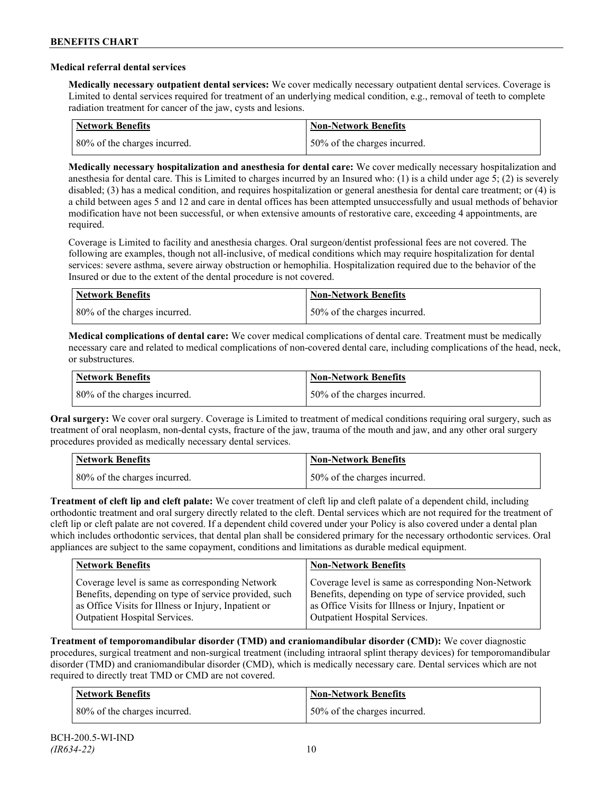#### **Medical referral dental services**

**Medically necessary outpatient dental services:** We cover medically necessary outpatient dental services. Coverage is Limited to dental services required for treatment of an underlying medical condition, e.g., removal of teeth to complete radiation treatment for cancer of the jaw, cysts and lesions.

| Network Benefits             | <b>Non-Network Benefits</b>  |
|------------------------------|------------------------------|
| 80% of the charges incurred. | 50% of the charges incurred. |

**Medically necessary hospitalization and anesthesia for dental care:** We cover medically necessary hospitalization and anesthesia for dental care. This is Limited to charges incurred by an Insured who: (1) is a child under age 5; (2) is severely disabled; (3) has a medical condition, and requires hospitalization or general anesthesia for dental care treatment; or (4) is a child between ages 5 and 12 and care in dental offices has been attempted unsuccessfully and usual methods of behavior modification have not been successful, or when extensive amounts of restorative care, exceeding 4 appointments, are required.

Coverage is Limited to facility and anesthesia charges. Oral surgeon/dentist professional fees are not covered. The following are examples, though not all-inclusive, of medical conditions which may require hospitalization for dental services: severe asthma, severe airway obstruction or hemophilia. Hospitalization required due to the behavior of the Insured or due to the extent of the dental procedure is not covered.

| Network Benefits             | <b>Non-Network Benefits</b>  |
|------------------------------|------------------------------|
| 80% of the charges incurred. | 50% of the charges incurred. |

**Medical complications of dental care:** We cover medical complications of dental care. Treatment must be medically necessary care and related to medical complications of non-covered dental care, including complications of the head, neck, or substructures.

| Network Benefits             | Non-Network Benefits          |
|------------------------------|-------------------------------|
| 80% of the charges incurred. | 150% of the charges incurred. |

**Oral surgery:** We cover oral surgery. Coverage is Limited to treatment of medical conditions requiring oral surgery, such as treatment of oral neoplasm, non-dental cysts, fracture of the jaw, trauma of the mouth and jaw, and any other oral surgery procedures provided as medically necessary dental services.

| <b>Network Benefits</b>      | <b>Non-Network Benefits</b>  |
|------------------------------|------------------------------|
| 80% of the charges incurred. | 50% of the charges incurred. |

**Treatment of cleft lip and cleft palate:** We cover treatment of cleft lip and cleft palate of a dependent child, including orthodontic treatment and oral surgery directly related to the cleft. Dental services which are not required for the treatment of cleft lip or cleft palate are not covered. If a dependent child covered under your Policy is also covered under a dental plan which includes orthodontic services, that dental plan shall be considered primary for the necessary orthodontic services. Oral appliances are subject to the same copayment, conditions and limitations as durable medical equipment.

| <b>Network Benefits</b>                               | <b>Non-Network Benefits</b>                           |
|-------------------------------------------------------|-------------------------------------------------------|
| Coverage level is same as corresponding Network       | Coverage level is same as corresponding Non-Network   |
| Benefits, depending on type of service provided, such | Benefits, depending on type of service provided, such |
| as Office Visits for Illness or Injury, Inpatient or  | as Office Visits for Illness or Injury, Inpatient or  |
| Outpatient Hospital Services.                         | Outpatient Hospital Services.                         |

**Treatment of temporomandibular disorder (TMD) and craniomandibular disorder (CMD):** We cover diagnostic procedures, surgical treatment and non-surgical treatment (including intraoral splint therapy devices) for temporomandibular disorder (TMD) and craniomandibular disorder (CMD), which is medically necessary care. Dental services which are not required to directly treat TMD or CMD are not covered.

| Network Benefits             | <b>Non-Network Benefits</b>  |
|------------------------------|------------------------------|
| 80% of the charges incurred. | 50% of the charges incurred. |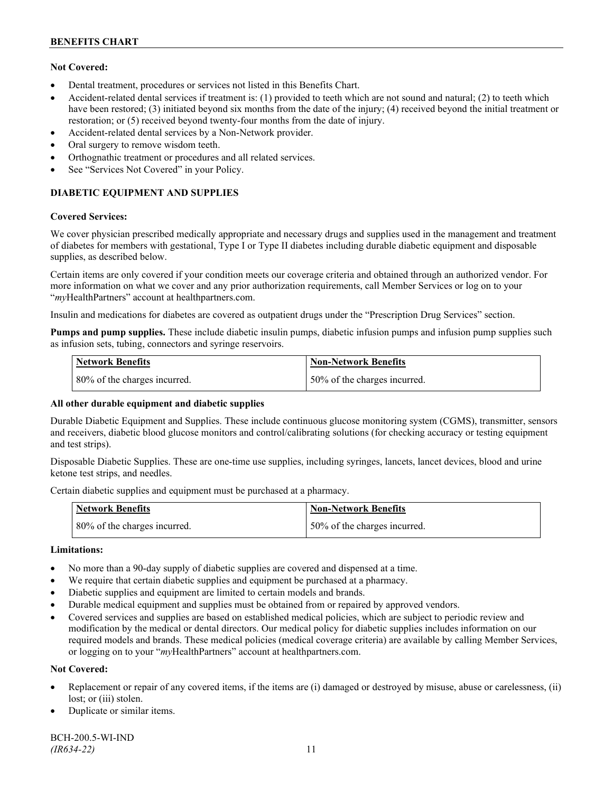## **Not Covered:**

- Dental treatment, procedures or services not listed in this Benefits Chart.
- Accident-related dental services if treatment is: (1) provided to teeth which are not sound and natural; (2) to teeth which have been restored; (3) initiated beyond six months from the date of the injury; (4) received beyond the initial treatment or restoration; or (5) received beyond twenty-four months from the date of injury.
- Accident-related dental services by a Non-Network provider.
- Oral surgery to remove wisdom teeth.
- Orthognathic treatment or procedures and all related services.
- See "Services Not Covered" in your Policy.

## **DIABETIC EQUIPMENT AND SUPPLIES**

#### **Covered Services:**

We cover physician prescribed medically appropriate and necessary drugs and supplies used in the management and treatment of diabetes for members with gestational, Type I or Type II diabetes including durable diabetic equipment and disposable supplies, as described below.

Certain items are only covered if your condition meets our coverage criteria and obtained through an authorized vendor. For more information on what we cover and any prior authorization requirements, call Member Services or log on to your "*my*HealthPartners" account at [healthpartners.com.](http://www.healthpartners.com/)

Insulin and medications for diabetes are covered as outpatient drugs under the "Prescription Drug Services" section.

**Pumps and pump supplies.** These include diabetic insulin pumps, diabetic infusion pumps and infusion pump supplies such as infusion sets, tubing, connectors and syringe reservoirs.

| <b>Network Benefits</b>      | <b>Non-Network Benefits</b>  |
|------------------------------|------------------------------|
| 80% of the charges incurred. | 50% of the charges incurred. |

## **All other durable equipment and diabetic supplies**

Durable Diabetic Equipment and Supplies. These include continuous glucose monitoring system (CGMS), transmitter, sensors and receivers, diabetic blood glucose monitors and control/calibrating solutions (for checking accuracy or testing equipment and test strips).

Disposable Diabetic Supplies. These are one-time use supplies, including syringes, lancets, lancet devices, blood and urine ketone test strips, and needles.

Certain diabetic supplies and equipment must be purchased at a pharmacy.

| <b>Network Benefits</b>      | <b>Non-Network Benefits</b>  |
|------------------------------|------------------------------|
| 80% of the charges incurred. | 50% of the charges incurred. |

## **Limitations:**

- No more than a 90-day supply of diabetic supplies are covered and dispensed at a time.
- We require that certain diabetic supplies and equipment be purchased at a pharmacy.
- Diabetic supplies and equipment are limited to certain models and brands.
- Durable medical equipment and supplies must be obtained from or repaired by approved vendors.
- Covered services and supplies are based on established medical policies, which are subject to periodic review and modification by the medical or dental directors. Our medical policy for diabetic supplies includes information on our required models and brands. These medical policies (medical coverage criteria) are available by calling Member Services, or logging on to your "*my*HealthPartners" account at healthpartners.com.

## **Not Covered:**

- Replacement or repair of any covered items, if the items are (i) damaged or destroyed by misuse, abuse or carelessness, (ii) lost; or (iii) stolen.
- Duplicate or similar items.

BCH-200.5-WI-IND *(IR634-22)* 11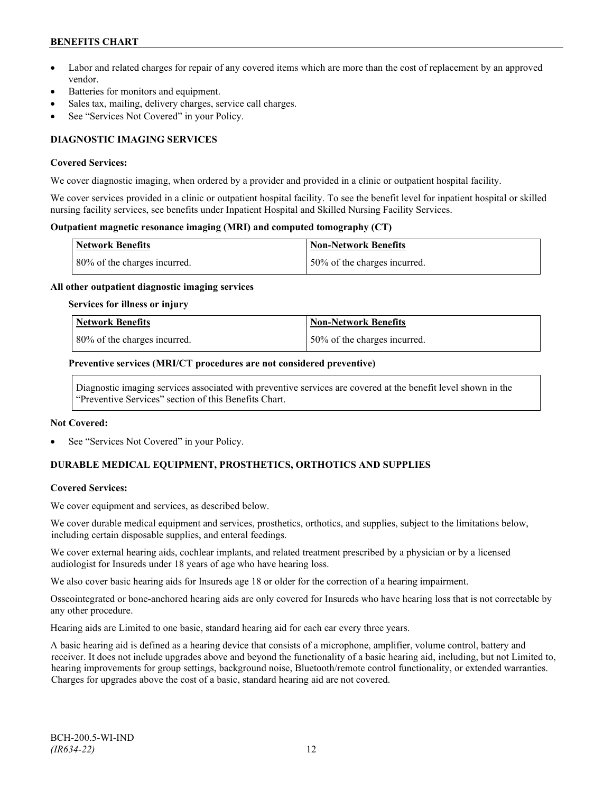## **BENEFITS CHART**

- Labor and related charges for repair of any covered items which are more than the cost of replacement by an approved vendor.
- Batteries for monitors and equipment.
- Sales tax, mailing, delivery charges, service call charges.
- See "Services Not Covered" in your Policy.

## **DIAGNOSTIC IMAGING SERVICES**

#### **Covered Services:**

We cover diagnostic imaging, when ordered by a provider and provided in a clinic or outpatient hospital facility.

We cover services provided in a clinic or outpatient hospital facility. To see the benefit level for inpatient hospital or skilled nursing facility services, see benefits under Inpatient Hospital and Skilled Nursing Facility Services.

#### **Outpatient magnetic resonance imaging (MRI) and computed tomography (CT)**

| <b>Network Benefits</b>      | <b>Non-Network Benefits</b>  |
|------------------------------|------------------------------|
| 80% of the charges incurred. | 50% of the charges incurred. |

#### **All other outpatient diagnostic imaging services**

#### **Services for illness or injury**

| <b>Network Benefits</b>      | Non-Network Benefits         |
|------------------------------|------------------------------|
| 80% of the charges incurred. | 50% of the charges incurred. |

#### **Preventive services (MRI/CT procedures are not considered preventive)**

Diagnostic imaging services associated with preventive services are covered at the benefit level shown in the "Preventive Services" section of this Benefits Chart.

#### **Not Covered:**

See "Services Not Covered" in your Policy.

## **DURABLE MEDICAL EQUIPMENT, PROSTHETICS, ORTHOTICS AND SUPPLIES**

## **Covered Services:**

We cover equipment and services, as described below.

We cover durable medical equipment and services, prosthetics, orthotics, and supplies, subject to the limitations below, including certain disposable supplies, and enteral feedings.

We cover external hearing aids, cochlear implants, and related treatment prescribed by a physician or by a licensed audiologist for Insureds under 18 years of age who have hearing loss.

We also cover basic hearing aids for Insureds age 18 or older for the correction of a hearing impairment.

Osseointegrated or bone-anchored hearing aids are only covered for Insureds who have hearing loss that is not correctable by any other procedure.

Hearing aids are Limited to one basic, standard hearing aid for each ear every three years.

A basic hearing aid is defined as a hearing device that consists of a microphone, amplifier, volume control, battery and receiver. It does not include upgrades above and beyond the functionality of a basic hearing aid, including, but not Limited to, hearing improvements for group settings, background noise, Bluetooth/remote control functionality, or extended warranties. Charges for upgrades above the cost of a basic, standard hearing aid are not covered.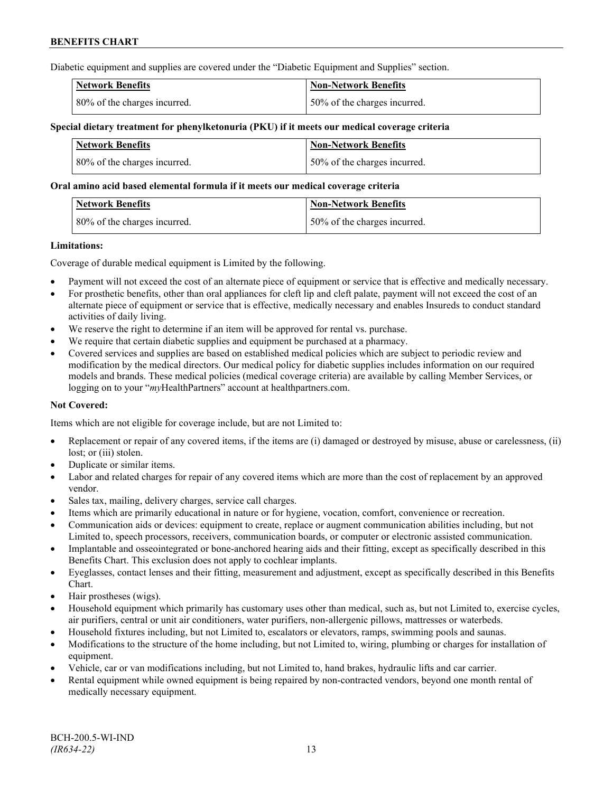Diabetic equipment and supplies are covered under the "Diabetic Equipment and Supplies" section.

| <b>Network Benefits</b>      | <b>Non-Network Benefits</b>  |
|------------------------------|------------------------------|
| 80% of the charges incurred. | 50% of the charges incurred. |

### **Special dietary treatment for phenylketonuria (PKU) if it meets our medical coverage criteria**

| Network Benefits             | <b>Non-Network Benefits</b>  |
|------------------------------|------------------------------|
| 80% of the charges incurred. | 50% of the charges incurred. |

#### **Oral amino acid based elemental formula if it meets our medical coverage criteria**

| <b>Network Benefits</b>      | Non-Network Benefits         |
|------------------------------|------------------------------|
| 80% of the charges incurred. | 50% of the charges incurred. |

#### **Limitations:**

Coverage of durable medical equipment is Limited by the following.

- Payment will not exceed the cost of an alternate piece of equipment or service that is effective and medically necessary.
- For prosthetic benefits, other than oral appliances for cleft lip and cleft palate, payment will not exceed the cost of an alternate piece of equipment or service that is effective, medically necessary and enables Insureds to conduct standard activities of daily living.
- We reserve the right to determine if an item will be approved for rental vs. purchase.
- We require that certain diabetic supplies and equipment be purchased at a pharmacy.
- Covered services and supplies are based on established medical policies which are subject to periodic review and modification by the medical directors. Our medical policy for diabetic supplies includes information on our required models and brands. These medical policies (medical coverage criteria) are available by calling Member Services, or logging on to your "*my*HealthPartners" account at [healthpartners.com.](http://www.healthpartners.com/)

## **Not Covered:**

Items which are not eligible for coverage include, but are not Limited to:

- Replacement or repair of any covered items, if the items are (i) damaged or destroyed by misuse, abuse or carelessness, (ii) lost; or (iii) stolen.
- Duplicate or similar items.
- Labor and related charges for repair of any covered items which are more than the cost of replacement by an approved vendor.
- Sales tax, mailing, delivery charges, service call charges.
- Items which are primarily educational in nature or for hygiene, vocation, comfort, convenience or recreation.
- Communication aids or devices: equipment to create, replace or augment communication abilities including, but not Limited to, speech processors, receivers, communication boards, or computer or electronic assisted communication.
- Implantable and osseointegrated or bone-anchored hearing aids and their fitting, except as specifically described in this Benefits Chart. This exclusion does not apply to cochlear implants.
- Eyeglasses, contact lenses and their fitting, measurement and adjustment, except as specifically described in this Benefits Chart.
- Hair prostheses (wigs).
- Household equipment which primarily has customary uses other than medical, such as, but not Limited to, exercise cycles, air purifiers, central or unit air conditioners, water purifiers, non-allergenic pillows, mattresses or waterbeds.
- Household fixtures including, but not Limited to, escalators or elevators, ramps, swimming pools and saunas.
- Modifications to the structure of the home including, but not Limited to, wiring, plumbing or charges for installation of equipment.
- Vehicle, car or van modifications including, but not Limited to, hand brakes, hydraulic lifts and car carrier.
- Rental equipment while owned equipment is being repaired by non-contracted vendors, beyond one month rental of medically necessary equipment.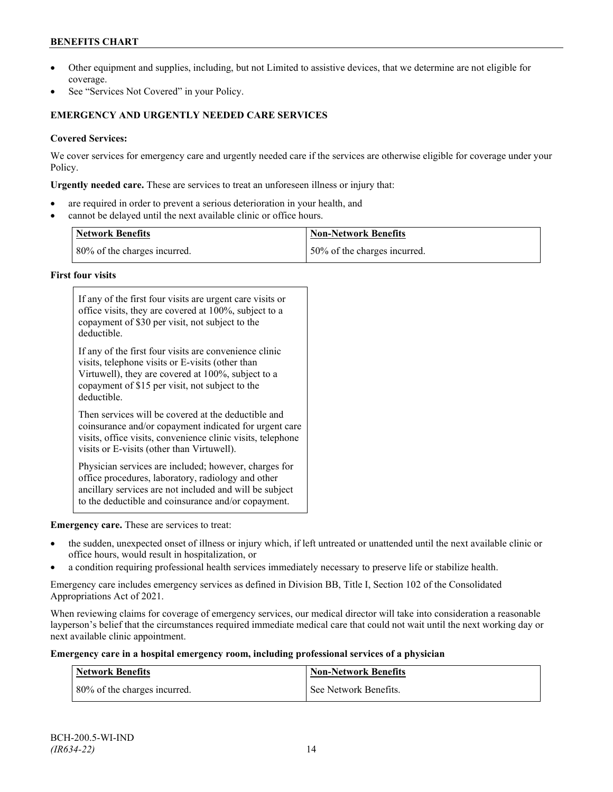## **BENEFITS CHART**

- Other equipment and supplies, including, but not Limited to assistive devices, that we determine are not eligible for coverage.
- See "Services Not Covered" in your Policy.

## **EMERGENCY AND URGENTLY NEEDED CARE SERVICES**

## **Covered Services:**

We cover services for emergency care and urgently needed care if the services are otherwise eligible for coverage under your Policy.

**Urgently needed care.** These are services to treat an unforeseen illness or injury that:

- are required in order to prevent a serious deterioration in your health, and
- cannot be delayed until the next available clinic or office hours.

| <b>Network Benefits</b>      | <b>Non-Network Benefits</b>  |
|------------------------------|------------------------------|
| 80% of the charges incurred. | 50% of the charges incurred. |

## **First four visits**

| If any of the first four visits are urgent care visits or<br>office visits, they are covered at 100%, subject to a<br>copayment of \$30 per visit, not subject to the<br>deductible.                                               |
|------------------------------------------------------------------------------------------------------------------------------------------------------------------------------------------------------------------------------------|
| If any of the first four visits are convenience clinic<br>visits, telephone visits or E-visits (other than<br>Virtuwell), they are covered at 100%, subject to a<br>copayment of \$15 per visit, not subject to the<br>deductible. |
| Then services will be covered at the deductible and<br>coinsurance and/or copayment indicated for urgent care<br>visits, office visits, convenience clinic visits, telephone<br>visits or E-visits (other than Virtuwell).         |
| Physician services are included; however, charges for<br>office procedures, laboratory, radiology and other<br>ancillary services are not included and will be subject<br>to the deductible and coinsurance and/or copayment.      |

## **Emergency care.** These are services to treat:

- the sudden, unexpected onset of illness or injury which, if left untreated or unattended until the next available clinic or office hours, would result in hospitalization, or
- a condition requiring professional health services immediately necessary to preserve life or stabilize health.

Emergency care includes emergency services as defined in Division BB, Title I, Section 102 of the Consolidated Appropriations Act of 2021.

When reviewing claims for coverage of emergency services, our medical director will take into consideration a reasonable layperson's belief that the circumstances required immediate medical care that could not wait until the next working day or next available clinic appointment.

#### **Emergency care in a hospital emergency room, including professional services of a physician**

| <b>Network Benefits</b>      | <b>Non-Network Benefits</b> |
|------------------------------|-----------------------------|
| 80% of the charges incurred. | See Network Benefits.       |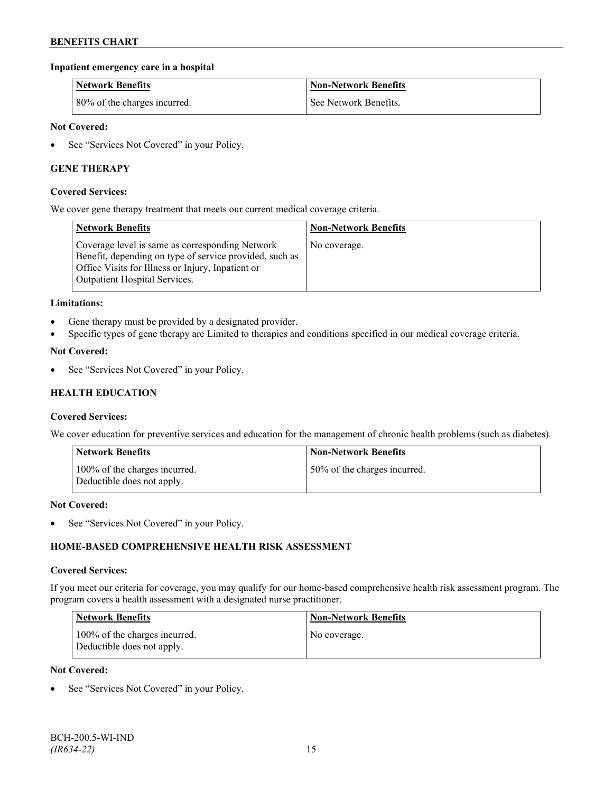## **Inpatient emergency care in a hospital**

| <b>Network Benefits</b>      | <b>Non-Network Benefits</b> |
|------------------------------|-----------------------------|
| 80% of the charges incurred. | See Network Benefits.       |

### **Not Covered:**

• See "Services Not Covered" in your Policy.

## **GENE THERAPY**

#### **Covered Services:**

We cover gene therapy treatment that meets our current medical coverage criteria.

| <b>Network Benefits</b>                                                                                                                                                                                 | <b>Non-Network Benefits</b> |
|---------------------------------------------------------------------------------------------------------------------------------------------------------------------------------------------------------|-----------------------------|
| Coverage level is same as corresponding Network<br>Benefit, depending on type of service provided, such as<br>Office Visits for Illness or Injury, Inpatient or<br><b>Outpatient Hospital Services.</b> | No coverage.                |

#### **Limitations:**

- Gene therapy must be provided by a designated provider.
- Specific types of gene therapy are Limited to therapies and conditions specified in our medical coverage criteria.

#### **Not Covered:**

See "Services Not Covered" in your Policy.

## **HEALTH EDUCATION**

#### **Covered Services:**

We cover education for preventive services and education for the management of chronic health problems (such as diabetes).

| <b>Network Benefits</b>                                     | <b>Non-Network Benefits</b>  |
|-------------------------------------------------------------|------------------------------|
| 100% of the charges incurred.<br>Deductible does not apply. | 50% of the charges incurred. |

#### **Not Covered:**

• See "Services Not Covered" in your Policy.

## **HOME-BASED COMPREHENSIVE HEALTH RISK ASSESSMENT**

#### **Covered Services:**

If you meet our criteria for coverage, you may qualify for our home-based comprehensive health risk assessment program. The program covers a health assessment with a designated nurse practitioner.

| <b>Network Benefits</b>                                     | <b>Non-Network Benefits</b> |
|-------------------------------------------------------------|-----------------------------|
| 100% of the charges incurred.<br>Deductible does not apply. | No coverage.                |

#### **Not Covered:**

See "Services Not Covered" in your Policy.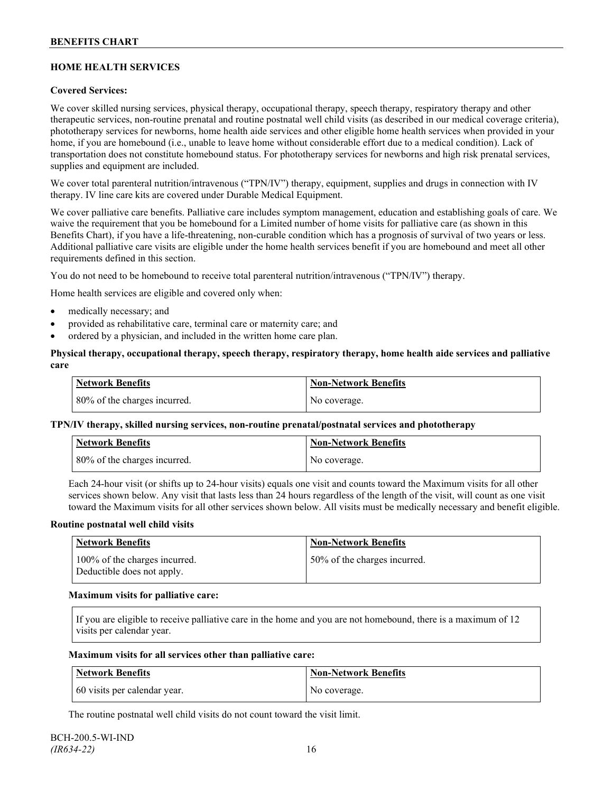## **HOME HEALTH SERVICES**

## **Covered Services:**

We cover skilled nursing services, physical therapy, occupational therapy, speech therapy, respiratory therapy and other therapeutic services, non-routine prenatal and routine postnatal well child visits (as described in our medical coverage criteria), phototherapy services for newborns, home health aide services and other eligible home health services when provided in your home, if you are homebound (i.e., unable to leave home without considerable effort due to a medical condition). Lack of transportation does not constitute homebound status. For phototherapy services for newborns and high risk prenatal services, supplies and equipment are included.

We cover total parenteral nutrition/intravenous ("TPN/IV") therapy, equipment, supplies and drugs in connection with IV therapy. IV line care kits are covered under Durable Medical Equipment.

We cover palliative care benefits. Palliative care includes symptom management, education and establishing goals of care. We waive the requirement that you be homebound for a Limited number of home visits for palliative care (as shown in this Benefits Chart), if you have a life-threatening, non-curable condition which has a prognosis of survival of two years or less. Additional palliative care visits are eligible under the home health services benefit if you are homebound and meet all other requirements defined in this section.

You do not need to be homebound to receive total parenteral nutrition/intravenous ("TPN/IV") therapy.

Home health services are eligible and covered only when:

- medically necessary; and
- provided as rehabilitative care, terminal care or maternity care; and
- ordered by a physician, and included in the written home care plan.

### **Physical therapy, occupational therapy, speech therapy, respiratory therapy, home health aide services and palliative care**

| <b>Network Benefits</b>      | <b>Non-Network Benefits</b> |
|------------------------------|-----------------------------|
| 80% of the charges incurred. | No coverage.                |

## **TPN/IV therapy, skilled nursing services, non-routine prenatal/postnatal services and phototherapy**

| Network Benefits             | <b>Non-Network Benefits</b> |
|------------------------------|-----------------------------|
| 80% of the charges incurred. | No coverage.                |

Each 24-hour visit (or shifts up to 24-hour visits) equals one visit and counts toward the Maximum visits for all other services shown below. Any visit that lasts less than 24 hours regardless of the length of the visit, will count as one visit toward the Maximum visits for all other services shown below. All visits must be medically necessary and benefit eligible.

#### **Routine postnatal well child visits**

| Network Benefits                                            | <b>Non-Network Benefits</b>  |
|-------------------------------------------------------------|------------------------------|
| 100% of the charges incurred.<br>Deductible does not apply. | 50% of the charges incurred. |

#### **Maximum visits for palliative care:**

If you are eligible to receive palliative care in the home and you are not homebound, there is a maximum of 12 visits per calendar year.

#### **Maximum visits for all services other than palliative care:**

| Network Benefits             | Non-Network Benefits |
|------------------------------|----------------------|
| 60 visits per calendar year. | No coverage.         |

The routine postnatal well child visits do not count toward the visit limit.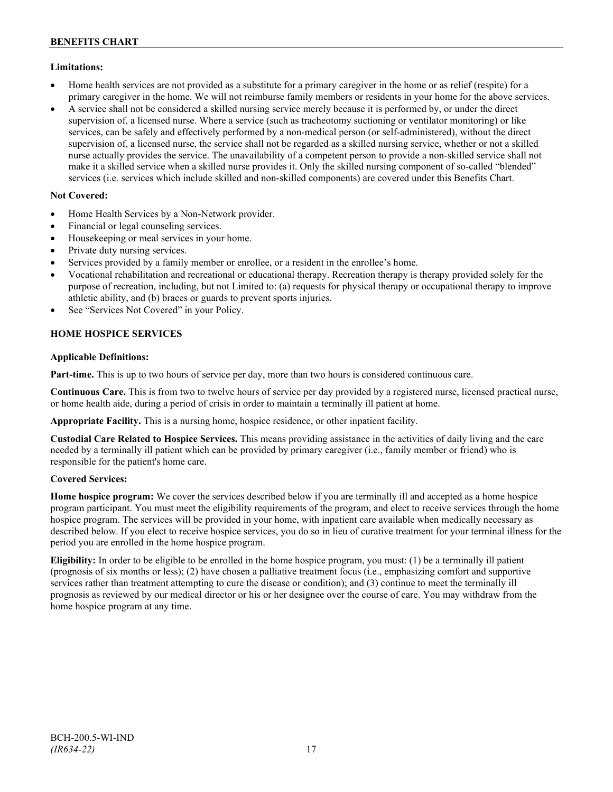## **Limitations:**

- Home health services are not provided as a substitute for a primary caregiver in the home or as relief (respite) for a primary caregiver in the home. We will not reimburse family members or residents in your home for the above services.
- A service shall not be considered a skilled nursing service merely because it is performed by, or under the direct supervision of, a licensed nurse. Where a service (such as tracheotomy suctioning or ventilator monitoring) or like services, can be safely and effectively performed by a non-medical person (or self-administered), without the direct supervision of, a licensed nurse, the service shall not be regarded as a skilled nursing service, whether or not a skilled nurse actually provides the service. The unavailability of a competent person to provide a non-skilled service shall not make it a skilled service when a skilled nurse provides it. Only the skilled nursing component of so-called "blended" services (i.e. services which include skilled and non-skilled components) are covered under this Benefits Chart.

## **Not Covered:**

- Home Health Services by a Non-Network provider.
- Financial or legal counseling services.
- Housekeeping or meal services in your home.
- Private duty nursing services.
- Services provided by a family member or enrollee, or a resident in the enrollee's home.
- Vocational rehabilitation and recreational or educational therapy. Recreation therapy is therapy provided solely for the purpose of recreation, including, but not Limited to: (a) requests for physical therapy or occupational therapy to improve athletic ability, and (b) braces or guards to prevent sports injuries.
- See "Services Not Covered" in your Policy.

## **HOME HOSPICE SERVICES**

## **Applicable Definitions:**

**Part-time.** This is up to two hours of service per day, more than two hours is considered continuous care.

**Continuous Care.** This is from two to twelve hours of service per day provided by a registered nurse, licensed practical nurse, or home health aide, during a period of crisis in order to maintain a terminally ill patient at home.

**Appropriate Facility.** This is a nursing home, hospice residence, or other inpatient facility.

**Custodial Care Related to Hospice Services.** This means providing assistance in the activities of daily living and the care needed by a terminally ill patient which can be provided by primary caregiver (i.e., family member or friend) who is responsible for the patient's home care.

## **Covered Services:**

**Home hospice program:** We cover the services described below if you are terminally ill and accepted as a home hospice program participant. You must meet the eligibility requirements of the program, and elect to receive services through the home hospice program. The services will be provided in your home, with inpatient care available when medically necessary as described below. If you elect to receive hospice services, you do so in lieu of curative treatment for your terminal illness for the period you are enrolled in the home hospice program.

**Eligibility:** In order to be eligible to be enrolled in the home hospice program, you must: (1) be a terminally ill patient (prognosis of six months or less); (2) have chosen a palliative treatment focus (i.e., emphasizing comfort and supportive services rather than treatment attempting to cure the disease or condition); and (3) continue to meet the terminally ill prognosis as reviewed by our medical director or his or her designee over the course of care. You may withdraw from the home hospice program at any time.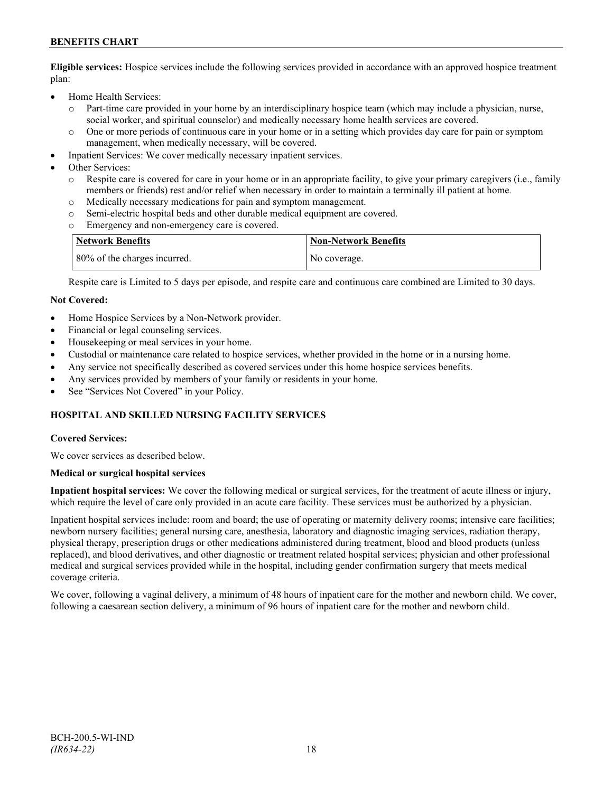## **BENEFITS CHART**

**Eligible services:** Hospice services include the following services provided in accordance with an approved hospice treatment plan:

- Home Health Services:
	- o Part-time care provided in your home by an interdisciplinary hospice team (which may include a physician, nurse, social worker, and spiritual counselor) and medically necessary home health services are covered.
	- o One or more periods of continuous care in your home or in a setting which provides day care for pain or symptom management, when medically necessary, will be covered.
- Inpatient Services: We cover medically necessary inpatient services.
- Other Services:
	- Respite care is covered for care in your home or in an appropriate facility, to give your primary caregivers (i.e., family members or friends) rest and/or relief when necessary in order to maintain a terminally ill patient at home*.*
	- o Medically necessary medications for pain and symptom management.
	- o Semi-electric hospital beds and other durable medical equipment are covered.
	- Emergency and non-emergency care is covered.

| Network Benefits             | <b>Non-Network Benefits</b> |
|------------------------------|-----------------------------|
| 80% of the charges incurred. | No coverage.                |

Respite care is Limited to 5 days per episode, and respite care and continuous care combined are Limited to 30 days.

#### **Not Covered:**

- Home Hospice Services by a Non-Network provider.
- Financial or legal counseling services.
- Housekeeping or meal services in your home.
- Custodial or maintenance care related to hospice services, whether provided in the home or in a nursing home.
- Any service not specifically described as covered services under this home hospice services benefits.
- Any services provided by members of your family or residents in your home.
- See "Services Not Covered" in your Policy.

## **HOSPITAL AND SKILLED NURSING FACILITY SERVICES**

#### **Covered Services:**

We cover services as described below.

#### **Medical or surgical hospital services**

**Inpatient hospital services:** We cover the following medical or surgical services, for the treatment of acute illness or injury, which require the level of care only provided in an acute care facility. These services must be authorized by a physician.

Inpatient hospital services include: room and board; the use of operating or maternity delivery rooms; intensive care facilities; newborn nursery facilities; general nursing care, anesthesia, laboratory and diagnostic imaging services, radiation therapy, physical therapy, prescription drugs or other medications administered during treatment, blood and blood products (unless replaced), and blood derivatives, and other diagnostic or treatment related hospital services; physician and other professional medical and surgical services provided while in the hospital, including gender confirmation surgery that meets medical coverage criteria.

We cover, following a vaginal delivery, a minimum of 48 hours of inpatient care for the mother and newborn child. We cover, following a caesarean section delivery, a minimum of 96 hours of inpatient care for the mother and newborn child.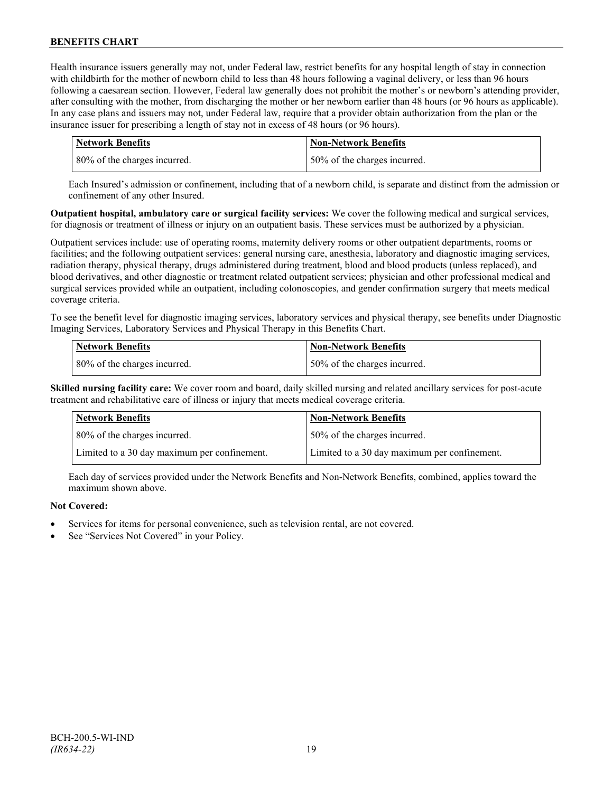Health insurance issuers generally may not, under Federal law, restrict benefits for any hospital length of stay in connection with childbirth for the mother of newborn child to less than 48 hours following a vaginal delivery, or less than 96 hours following a caesarean section. However, Federal law generally does not prohibit the mother's or newborn's attending provider, after consulting with the mother, from discharging the mother or her newborn earlier than 48 hours (or 96 hours as applicable). In any case plans and issuers may not, under Federal law, require that a provider obtain authorization from the plan or the insurance issuer for prescribing a length of stay not in excess of 48 hours (or 96 hours).

| Network Benefits             | <b>Non-Network Benefits</b>  |
|------------------------------|------------------------------|
| 80% of the charges incurred. | 50% of the charges incurred. |

Each Insured's admission or confinement, including that of a newborn child, is separate and distinct from the admission or confinement of any other Insured.

**Outpatient hospital, ambulatory care or surgical facility services:** We cover the following medical and surgical services, for diagnosis or treatment of illness or injury on an outpatient basis. These services must be authorized by a physician.

Outpatient services include: use of operating rooms, maternity delivery rooms or other outpatient departments, rooms or facilities; and the following outpatient services: general nursing care, anesthesia, laboratory and diagnostic imaging services, radiation therapy, physical therapy, drugs administered during treatment, blood and blood products (unless replaced), and blood derivatives, and other diagnostic or treatment related outpatient services; physician and other professional medical and surgical services provided while an outpatient, including colonoscopies, and gender confirmation surgery that meets medical coverage criteria.

To see the benefit level for diagnostic imaging services, laboratory services and physical therapy, see benefits under Diagnostic Imaging Services, Laboratory Services and Physical Therapy in this Benefits Chart.

| <b>Network Benefits</b>      | <b>Non-Network Benefits</b>  |
|------------------------------|------------------------------|
| 80% of the charges incurred. | 50% of the charges incurred. |

**Skilled nursing facility care:** We cover room and board, daily skilled nursing and related ancillary services for post-acute treatment and rehabilitative care of illness or injury that meets medical coverage criteria.

| <b>Network Benefits</b>                      | <b>Non-Network Benefits</b>                  |
|----------------------------------------------|----------------------------------------------|
| 80% of the charges incurred.                 | 50% of the charges incurred.                 |
| Limited to a 30 day maximum per confinement. | Limited to a 30 day maximum per confinement. |

Each day of services provided under the Network Benefits and Non-Network Benefits, combined, applies toward the maximum shown above.

## **Not Covered:**

- Services for items for personal convenience, such as television rental, are not covered.
- See "Services Not Covered" in your Policy.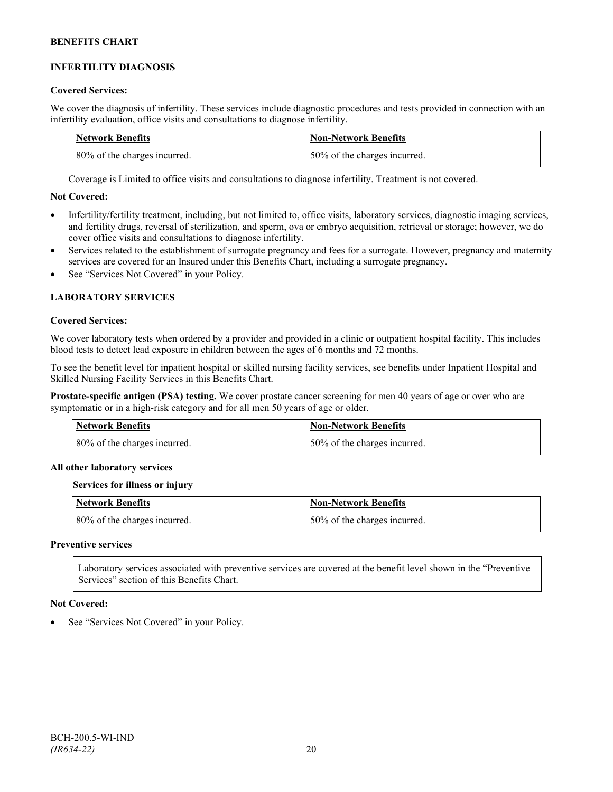## **INFERTILITY DIAGNOSIS**

## **Covered Services:**

We cover the diagnosis of infertility. These services include diagnostic procedures and tests provided in connection with an infertility evaluation, office visits and consultations to diagnose infertility.

| Network Benefits             | <b>Non-Network Benefits</b>  |
|------------------------------|------------------------------|
| 80% of the charges incurred. | 50% of the charges incurred. |

Coverage is Limited to office visits and consultations to diagnose infertility. Treatment is not covered.

## **Not Covered:**

- Infertility/fertility treatment, including, but not limited to, office visits, laboratory services, diagnostic imaging services, and fertility drugs, reversal of sterilization, and sperm, ova or embryo acquisition, retrieval or storage; however, we do cover office visits and consultations to diagnose infertility.
- Services related to the establishment of surrogate pregnancy and fees for a surrogate. However, pregnancy and maternity services are covered for an Insured under this Benefits Chart, including a surrogate pregnancy.
- See "Services Not Covered" in your Policy.

## **LABORATORY SERVICES**

#### **Covered Services:**

We cover laboratory tests when ordered by a provider and provided in a clinic or outpatient hospital facility. This includes blood tests to detect lead exposure in children between the ages of 6 months and 72 months.

To see the benefit level for inpatient hospital or skilled nursing facility services, see benefits under Inpatient Hospital and Skilled Nursing Facility Services in this Benefits Chart.

**Prostate-specific antigen (PSA) testing.** We cover prostate cancer screening for men 40 years of age or over who are symptomatic or in a high-risk category and for all men 50 years of age or older.

| <b>Network Benefits</b>      | <b>Non-Network Benefits</b>  |
|------------------------------|------------------------------|
| 80% of the charges incurred. | 50% of the charges incurred. |

## **All other laboratory services**

#### **Services for illness or injury**

| <b>Network Benefits</b>      | <b>Non-Network Benefits</b>  |
|------------------------------|------------------------------|
| 80% of the charges incurred. | 50% of the charges incurred. |

#### **Preventive services**

Laboratory services associated with preventive services are covered at the benefit level shown in the "Preventive Services" section of this Benefits Chart.

#### **Not Covered:**

See "Services Not Covered" in your Policy.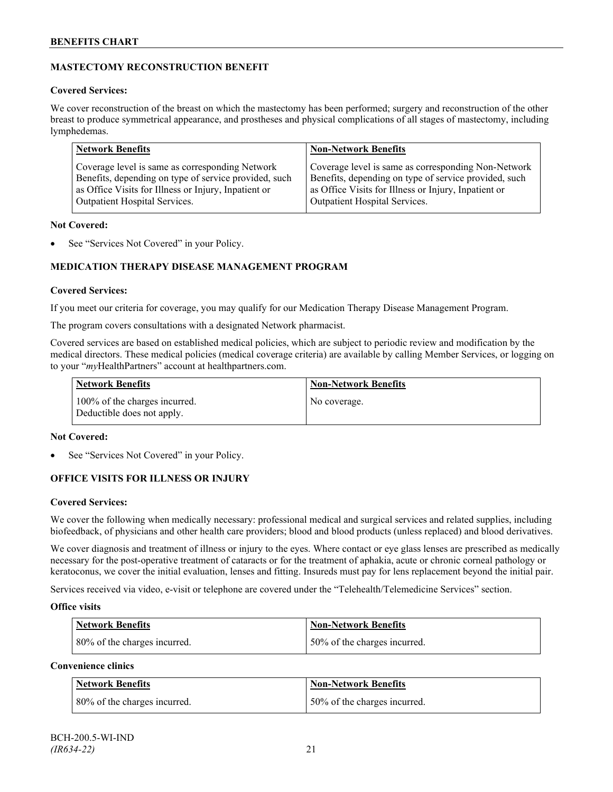## **MASTECTOMY RECONSTRUCTION BENEFIT**

## **Covered Services:**

We cover reconstruction of the breast on which the mastectomy has been performed; surgery and reconstruction of the other breast to produce symmetrical appearance, and prostheses and physical complications of all stages of mastectomy, including lymphedemas.

| <b>Network Benefits</b>                               | <b>Non-Network Benefits</b>                           |
|-------------------------------------------------------|-------------------------------------------------------|
| Coverage level is same as corresponding Network       | Coverage level is same as corresponding Non-Network   |
| Benefits, depending on type of service provided, such | Benefits, depending on type of service provided, such |
| as Office Visits for Illness or Injury, Inpatient or  | as Office Visits for Illness or Injury, Inpatient or  |
| Outpatient Hospital Services.                         | Outpatient Hospital Services.                         |

## **Not Covered:**

See "Services Not Covered" in your Policy.

## **MEDICATION THERAPY DISEASE MANAGEMENT PROGRAM**

## **Covered Services:**

If you meet our criteria for coverage, you may qualify for our Medication Therapy Disease Management Program.

The program covers consultations with a designated Network pharmacist.

Covered services are based on established medical policies, which are subject to periodic review and modification by the medical directors. These medical policies (medical coverage criteria) are available by calling Member Services, or logging on to your "*my*HealthPartners" account at [healthpartners.com.](http://www.healthpartners.com/)

| <b>Network Benefits</b>                                     | <b>Non-Network Benefits</b> |
|-------------------------------------------------------------|-----------------------------|
| 100% of the charges incurred.<br>Deductible does not apply. | No coverage.                |

## **Not Covered:**

See "Services Not Covered" in your Policy.

## **OFFICE VISITS FOR ILLNESS OR INJURY**

## **Covered Services:**

We cover the following when medically necessary: professional medical and surgical services and related supplies, including biofeedback, of physicians and other health care providers; blood and blood products (unless replaced) and blood derivatives.

We cover diagnosis and treatment of illness or injury to the eyes. Where contact or eye glass lenses are prescribed as medically necessary for the post-operative treatment of cataracts or for the treatment of aphakia, acute or chronic corneal pathology or keratoconus, we cover the initial evaluation, lenses and fitting. Insureds must pay for lens replacement beyond the initial pair.

Services received via video, e-visit or telephone are covered under the "Telehealth/Telemedicine Services" section.

## **Office visits**

| <b>Network Benefits</b>      | <b>Non-Network Benefits</b>  |
|------------------------------|------------------------------|
| 80% of the charges incurred. | 50% of the charges incurred. |

## **Convenience clinics**

| <b>Network Benefits</b>      | <b>Non-Network Benefits</b>  |
|------------------------------|------------------------------|
| 80% of the charges incurred. | 50% of the charges incurred. |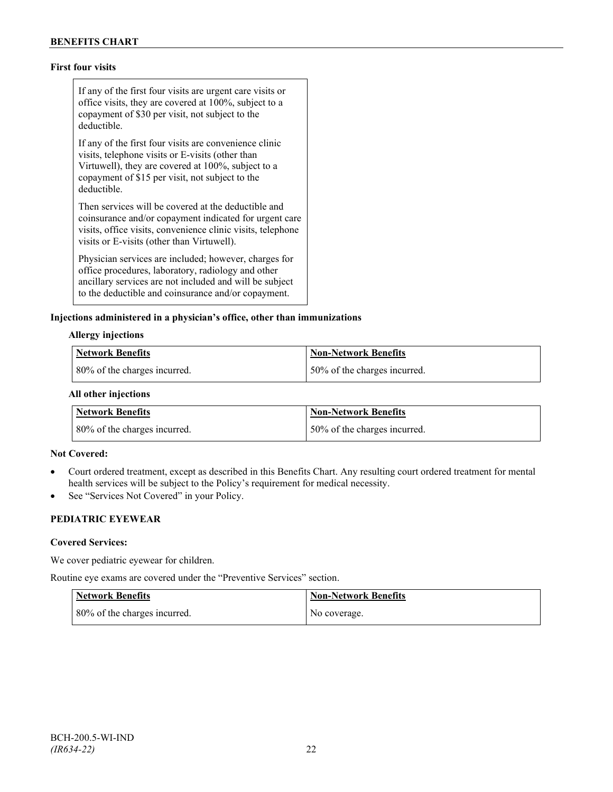## **First four visits**

If any of the first four visits are urgent care visits or office visits, they are covered at 100%, subject to a copayment of \$30 per visit, not subject to the deductible.

If any of the first four visits are convenience clinic visits, telephone visits or E-visits (other than Virtuwell), they are covered at 100%, subject to a copayment of \$15 per visit, not subject to the deductible.

Then services will be covered at the deductible and coinsurance and/or copayment indicated for urgent care visits, office visits, convenience clinic visits, telephone visits or E-visits (other than Virtuwell).

Physician services are included; however, charges for office procedures, laboratory, radiology and other ancillary services are not included and will be subject to the deductible and coinsurance and/or copayment.

#### **Injections administered in a physician's office, other than immunizations**

#### **Allergy injections**

| Network Benefits             | Non-Network Benefits         |
|------------------------------|------------------------------|
| 80% of the charges incurred. | 50% of the charges incurred. |

#### **All other injections**

| <b>Network Benefits</b>      | <b>Non-Network Benefits</b>  |
|------------------------------|------------------------------|
| 80% of the charges incurred. | 50% of the charges incurred. |

#### **Not Covered:**

- Court ordered treatment, except as described in this Benefits Chart. Any resulting court ordered treatment for mental health services will be subject to the Policy's requirement for medical necessity.
- See "Services Not Covered" in your Policy.

## **PEDIATRIC EYEWEAR**

#### **Covered Services:**

We cover pediatric eyewear for children.

Routine eye exams are covered under the "Preventive Services" section.

| <b>Network Benefits</b>      | <b>Non-Network Benefits</b> |
|------------------------------|-----------------------------|
| 80% of the charges incurred. | No coverage.                |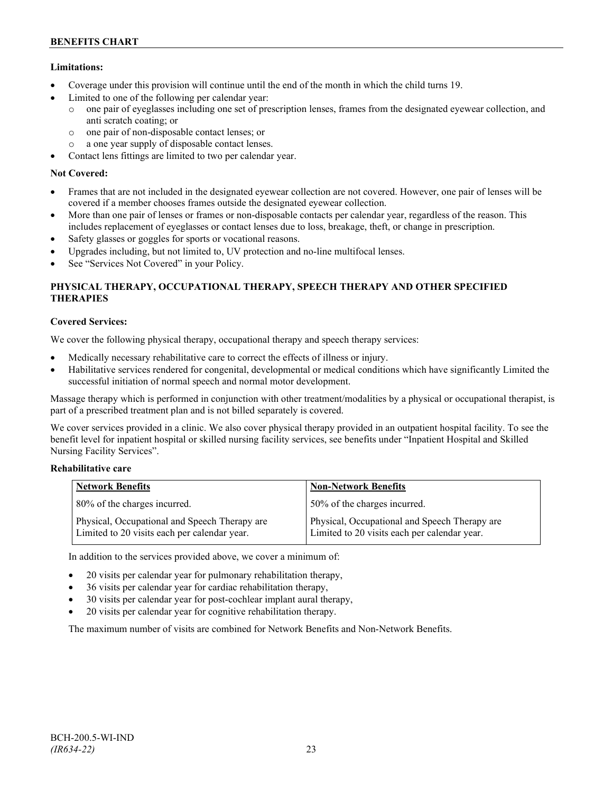## **Limitations:**

- Coverage under this provision will continue until the end of the month in which the child turns 19.
- Limited to one of the following per calendar year:
	- o one pair of eyeglasses including one set of prescription lenses, frames from the designated eyewear collection, and anti scratch coating; or
	- o one pair of non-disposable contact lenses; or
	- o a one year supply of disposable contact lenses.
- Contact lens fittings are limited to two per calendar year.

## **Not Covered:**

- Frames that are not included in the designated eyewear collection are not covered. However, one pair of lenses will be covered if a member chooses frames outside the designated eyewear collection.
- More than one pair of lenses or frames or non-disposable contacts per calendar year, regardless of the reason. This includes replacement of eyeglasses or contact lenses due to loss, breakage, theft, or change in prescription.
- Safety glasses or goggles for sports or vocational reasons.
- Upgrades including, but not limited to, UV protection and no-line multifocal lenses.
- See "Services Not Covered" in your Policy.

## **PHYSICAL THERAPY, OCCUPATIONAL THERAPY, SPEECH THERAPY AND OTHER SPECIFIED THERAPIES**

## **Covered Services:**

We cover the following physical therapy, occupational therapy and speech therapy services:

- Medically necessary rehabilitative care to correct the effects of illness or injury.
- Habilitative services rendered for congenital, developmental or medical conditions which have significantly Limited the successful initiation of normal speech and normal motor development.

Massage therapy which is performed in conjunction with other treatment/modalities by a physical or occupational therapist, is part of a prescribed treatment plan and is not billed separately is covered.

We cover services provided in a clinic. We also cover physical therapy provided in an outpatient hospital facility. To see the benefit level for inpatient hospital or skilled nursing facility services, see benefits under "Inpatient Hospital and Skilled Nursing Facility Services".

## **Rehabilitative care**

| <b>Network Benefits</b>                                                                       | <b>Non-Network Benefits</b>                                                                   |
|-----------------------------------------------------------------------------------------------|-----------------------------------------------------------------------------------------------|
| 80% of the charges incurred.                                                                  | 50% of the charges incurred.                                                                  |
| Physical, Occupational and Speech Therapy are<br>Limited to 20 visits each per calendar year. | Physical, Occupational and Speech Therapy are<br>Limited to 20 visits each per calendar year. |

In addition to the services provided above, we cover a minimum of:

- 20 visits per calendar year for pulmonary rehabilitation therapy,
- 36 visits per calendar year for cardiac rehabilitation therapy,
- 30 visits per calendar year for post-cochlear implant aural therapy,
- 20 visits per calendar year for cognitive rehabilitation therapy.

The maximum number of visits are combined for Network Benefits and Non-Network Benefits.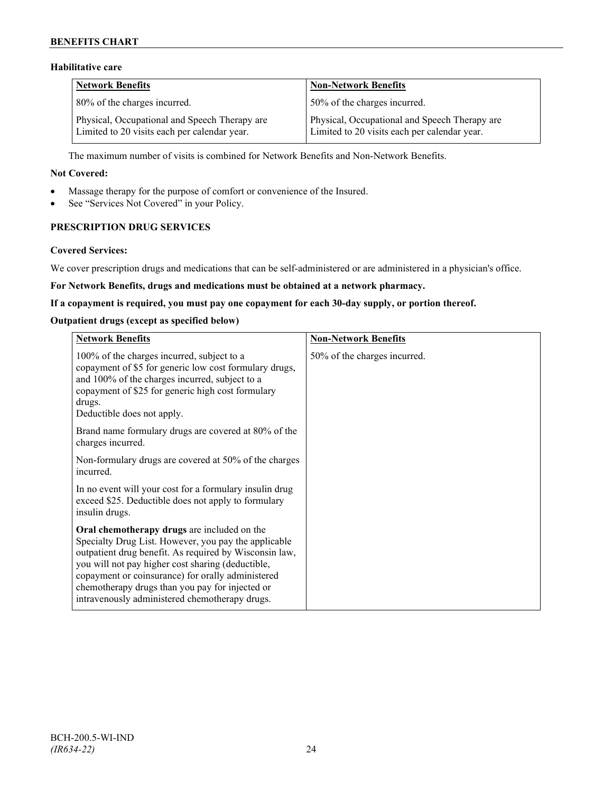## **BENEFITS CHART**

## **Habilitative care**

| <b>Network Benefits</b>                                                                       | <b>Non-Network Benefits</b>                                                                   |
|-----------------------------------------------------------------------------------------------|-----------------------------------------------------------------------------------------------|
| 80% of the charges incurred.                                                                  | 50% of the charges incurred.                                                                  |
| Physical, Occupational and Speech Therapy are<br>Limited to 20 visits each per calendar year. | Physical, Occupational and Speech Therapy are<br>Limited to 20 visits each per calendar year. |

The maximum number of visits is combined for Network Benefits and Non-Network Benefits.

#### **Not Covered:**

- Massage therapy for the purpose of comfort or convenience of the Insured.
- See "Services Not Covered" in your Policy.

## **PRESCRIPTION DRUG SERVICES**

#### **Covered Services:**

We cover prescription drugs and medications that can be self-administered or are administered in a physician's office.

#### **For Network Benefits, drugs and medications must be obtained at a network pharmacy.**

#### **If a copayment is required, you must pay one copayment for each 30-day supply, or portion thereof.**

### **Outpatient drugs (except as specified below)**

| <b>Network Benefits</b>                                                                                                                                                                                                                                                                                                                                                      | <b>Non-Network Benefits</b>  |
|------------------------------------------------------------------------------------------------------------------------------------------------------------------------------------------------------------------------------------------------------------------------------------------------------------------------------------------------------------------------------|------------------------------|
| 100% of the charges incurred, subject to a<br>copayment of \$5 for generic low cost formulary drugs,<br>and 100% of the charges incurred, subject to a<br>copayment of \$25 for generic high cost formulary<br>drugs.<br>Deductible does not apply.                                                                                                                          | 50% of the charges incurred. |
| Brand name formulary drugs are covered at 80% of the<br>charges incurred.                                                                                                                                                                                                                                                                                                    |                              |
| Non-formulary drugs are covered at 50% of the charges<br>incurred.                                                                                                                                                                                                                                                                                                           |                              |
| In no event will your cost for a formulary insulin drug<br>exceed \$25. Deductible does not apply to formulary<br>insulin drugs.                                                                                                                                                                                                                                             |                              |
| Oral chemotherapy drugs are included on the<br>Specialty Drug List. However, you pay the applicable<br>outpatient drug benefit. As required by Wisconsin law,<br>you will not pay higher cost sharing (deductible,<br>copayment or coinsurance) for orally administered<br>chemotherapy drugs than you pay for injected or<br>intravenously administered chemotherapy drugs. |                              |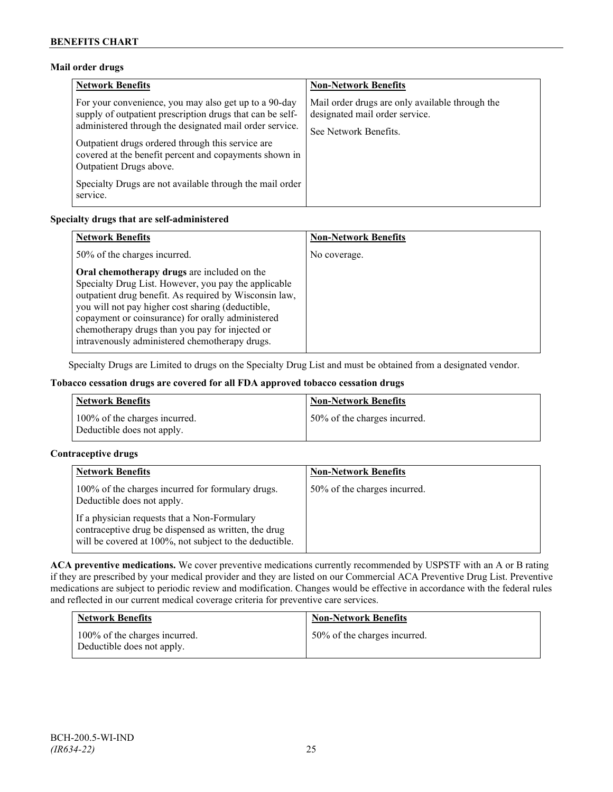## **Mail order drugs**

| <b>Network Benefits</b>                                                                                                                                                                                                                                                                                                 | <b>Non-Network Benefits</b>                                                                                |
|-------------------------------------------------------------------------------------------------------------------------------------------------------------------------------------------------------------------------------------------------------------------------------------------------------------------------|------------------------------------------------------------------------------------------------------------|
| For your convenience, you may also get up to a 90-day<br>supply of outpatient prescription drugs that can be self-<br>administered through the designated mail order service.<br>Outpatient drugs ordered through this service are<br>covered at the benefit percent and copayments shown in<br>Outpatient Drugs above. | Mail order drugs are only available through the<br>designated mail order service.<br>See Network Benefits. |
| Specialty Drugs are not available through the mail order<br>service.                                                                                                                                                                                                                                                    |                                                                                                            |

## **Specialty drugs that are self-administered**

| <b>Network Benefits</b>                                                                                                                                                                                                                                                                                                                                                      | <b>Non-Network Benefits</b> |
|------------------------------------------------------------------------------------------------------------------------------------------------------------------------------------------------------------------------------------------------------------------------------------------------------------------------------------------------------------------------------|-----------------------------|
| 50% of the charges incurred.                                                                                                                                                                                                                                                                                                                                                 | No coverage.                |
| Oral chemotherapy drugs are included on the<br>Specialty Drug List. However, you pay the applicable<br>outpatient drug benefit. As required by Wisconsin law,<br>you will not pay higher cost sharing (deductible,<br>copayment or coinsurance) for orally administered<br>chemotherapy drugs than you pay for injected or<br>intravenously administered chemotherapy drugs. |                             |

Specialty Drugs are Limited to drugs on the Specialty Drug List and must be obtained from a designated vendor.

## **Tobacco cessation drugs are covered for all FDA approved tobacco cessation drugs**

| <b>Network Benefits</b>                                     | <b>Non-Network Benefits</b>  |
|-------------------------------------------------------------|------------------------------|
| 100% of the charges incurred.<br>Deductible does not apply. | 50% of the charges incurred. |

## **Contraceptive drugs**

| <b>Network Benefits</b>                                                                                                                                         | <b>Non-Network Benefits</b>  |
|-----------------------------------------------------------------------------------------------------------------------------------------------------------------|------------------------------|
| 100% of the charges incurred for formulary drugs.<br>Deductible does not apply.                                                                                 | 50% of the charges incurred. |
| If a physician requests that a Non-Formulary<br>contraceptive drug be dispensed as written, the drug<br>will be covered at 100%, not subject to the deductible. |                              |

**ACA preventive medications.** We cover preventive medications currently recommended by USPSTF with an A or B rating if they are prescribed by your medical provider and they are listed on our Commercial ACA Preventive Drug List. Preventive medications are subject to periodic review and modification. Changes would be effective in accordance with the federal rules and reflected in our current medical coverage criteria for preventive care services.

| <b>Network Benefits</b>                                     | <b>Non-Network Benefits</b>  |
|-------------------------------------------------------------|------------------------------|
| 100% of the charges incurred.<br>Deductible does not apply. | 50% of the charges incurred. |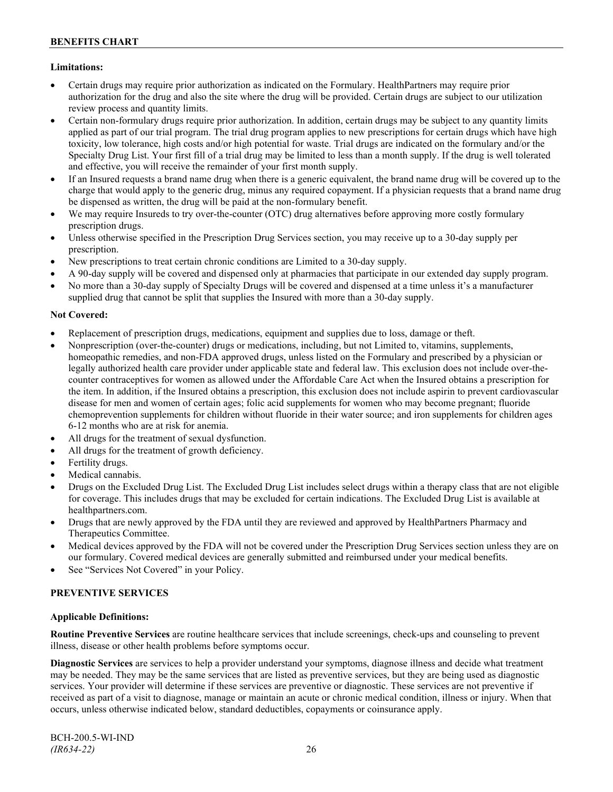## **Limitations:**

- Certain drugs may require prior authorization as indicated on the Formulary. HealthPartners may require prior authorization for the drug and also the site where the drug will be provided. Certain drugs are subject to our utilization review process and quantity limits.
- Certain non-formulary drugs require prior authorization. In addition, certain drugs may be subject to any quantity limits applied as part of our trial program. The trial drug program applies to new prescriptions for certain drugs which have high toxicity, low tolerance, high costs and/or high potential for waste. Trial drugs are indicated on the formulary and/or the Specialty Drug List. Your first fill of a trial drug may be limited to less than a month supply. If the drug is well tolerated and effective, you will receive the remainder of your first month supply.
- If an Insured requests a brand name drug when there is a generic equivalent, the brand name drug will be covered up to the charge that would apply to the generic drug, minus any required copayment. If a physician requests that a brand name drug be dispensed as written, the drug will be paid at the non-formulary benefit.
- We may require Insureds to try over-the-counter (OTC) drug alternatives before approving more costly formulary prescription drugs.
- Unless otherwise specified in the Prescription Drug Services section, you may receive up to a 30-day supply per prescription.
- New prescriptions to treat certain chronic conditions are Limited to a 30-day supply.
- A 90-day supply will be covered and dispensed only at pharmacies that participate in our extended day supply program.
- No more than a 30-day supply of Specialty Drugs will be covered and dispensed at a time unless it's a manufacturer supplied drug that cannot be split that supplies the Insured with more than a 30-day supply.

## **Not Covered:**

- Replacement of prescription drugs, medications, equipment and supplies due to loss, damage or theft.
- Nonprescription (over-the-counter) drugs or medications, including, but not Limited to, vitamins, supplements, homeopathic remedies, and non-FDA approved drugs, unless listed on the Formulary and prescribed by a physician or legally authorized health care provider under applicable state and federal law. This exclusion does not include over-thecounter contraceptives for women as allowed under the Affordable Care Act when the Insured obtains a prescription for the item. In addition, if the Insured obtains a prescription, this exclusion does not include aspirin to prevent cardiovascular disease for men and women of certain ages; folic acid supplements for women who may become pregnant; fluoride chemoprevention supplements for children without fluoride in their water source; and iron supplements for children ages 6-12 months who are at risk for anemia.
- All drugs for the treatment of sexual dysfunction.
- All drugs for the treatment of growth deficiency.
- Fertility drugs.
- Medical cannabis.
- Drugs on the Excluded Drug List. The Excluded Drug List includes select drugs within a therapy class that are not eligible for coverage. This includes drugs that may be excluded for certain indications. The Excluded Drug List is available at [healthpartners.com.](http://www.healthpartners.com/)
- Drugs that are newly approved by the FDA until they are reviewed and approved by HealthPartners Pharmacy and Therapeutics Committee.
- Medical devices approved by the FDA will not be covered under the Prescription Drug Services section unless they are on our formulary. Covered medical devices are generally submitted and reimbursed under your medical benefits.
- See "Services Not Covered" in your Policy.

## **PREVENTIVE SERVICES**

## **Applicable Definitions:**

**Routine Preventive Services** are routine healthcare services that include screenings, check-ups and counseling to prevent illness, disease or other health problems before symptoms occur.

**Diagnostic Services** are services to help a provider understand your symptoms, diagnose illness and decide what treatment may be needed. They may be the same services that are listed as preventive services, but they are being used as diagnostic services. Your provider will determine if these services are preventive or diagnostic. These services are not preventive if received as part of a visit to diagnose, manage or maintain an acute or chronic medical condition, illness or injury. When that occurs, unless otherwise indicated below, standard deductibles, copayments or coinsurance apply.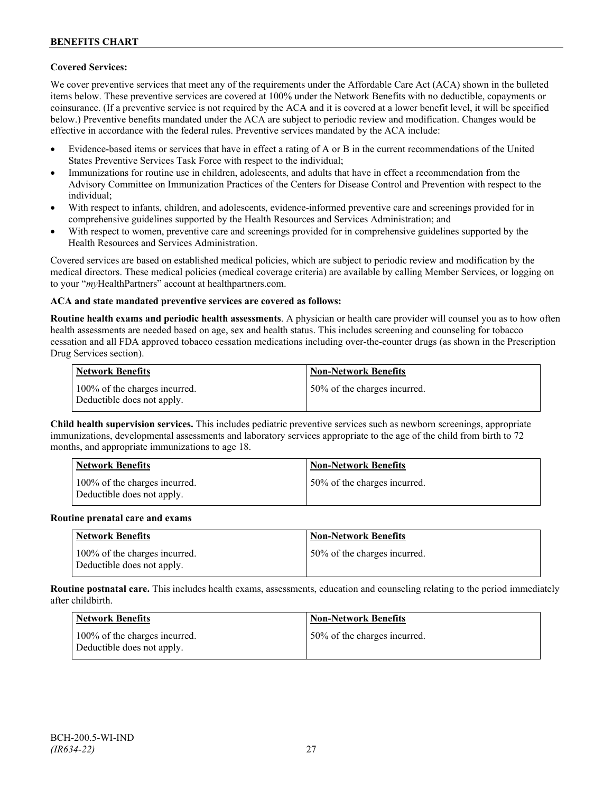## **Covered Services:**

We cover preventive services that meet any of the requirements under the Affordable Care Act (ACA) shown in the bulleted items below. These preventive services are covered at 100% under the Network Benefits with no deductible, copayments or coinsurance. (If a preventive service is not required by the ACA and it is covered at a lower benefit level, it will be specified below.) Preventive benefits mandated under the ACA are subject to periodic review and modification. Changes would be effective in accordance with the federal rules. Preventive services mandated by the ACA include:

- Evidence-based items or services that have in effect a rating of A or B in the current recommendations of the United States Preventive Services Task Force with respect to the individual;
- Immunizations for routine use in children, adolescents, and adults that have in effect a recommendation from the Advisory Committee on Immunization Practices of the Centers for Disease Control and Prevention with respect to the individual;
- With respect to infants, children, and adolescents, evidence-informed preventive care and screenings provided for in comprehensive guidelines supported by the Health Resources and Services Administration; and
- With respect to women, preventive care and screenings provided for in comprehensive guidelines supported by the Health Resources and Services Administration.

Covered services are based on established medical policies, which are subject to periodic review and modification by the medical directors. These medical policies (medical coverage criteria) are available by calling Member Services, or logging on to your "*my*HealthPartners" account at [healthpartners.com.](http://www.healthpartners.com/)

## **ACA and state mandated preventive services are covered as follows:**

**Routine health exams and periodic health assessments**. A physician or health care provider will counsel you as to how often health assessments are needed based on age, sex and health status. This includes screening and counseling for tobacco cessation and all FDA approved tobacco cessation medications including over-the-counter drugs (as shown in the Prescription Drug Services section).

| <b>Network Benefits</b>                                     | <b>Non-Network Benefits</b>  |
|-------------------------------------------------------------|------------------------------|
| 100% of the charges incurred.<br>Deductible does not apply. | 50% of the charges incurred. |

**Child health supervision services.** This includes pediatric preventive services such as newborn screenings, appropriate immunizations, developmental assessments and laboratory services appropriate to the age of the child from birth to 72 months, and appropriate immunizations to age 18.

| <b>Network Benefits</b>                                     | <b>Non-Network Benefits</b>  |
|-------------------------------------------------------------|------------------------------|
| 100% of the charges incurred.<br>Deductible does not apply. | 50% of the charges incurred. |

#### **Routine prenatal care and exams**

| Network Benefits                                            | <b>Non-Network Benefits</b>  |
|-------------------------------------------------------------|------------------------------|
| 100% of the charges incurred.<br>Deductible does not apply. | 50% of the charges incurred. |

**Routine postnatal care.** This includes health exams, assessments, education and counseling relating to the period immediately after childbirth.

| <b>Network Benefits</b>                                     | <b>Non-Network Benefits</b>  |
|-------------------------------------------------------------|------------------------------|
| 100% of the charges incurred.<br>Deductible does not apply. | 50% of the charges incurred. |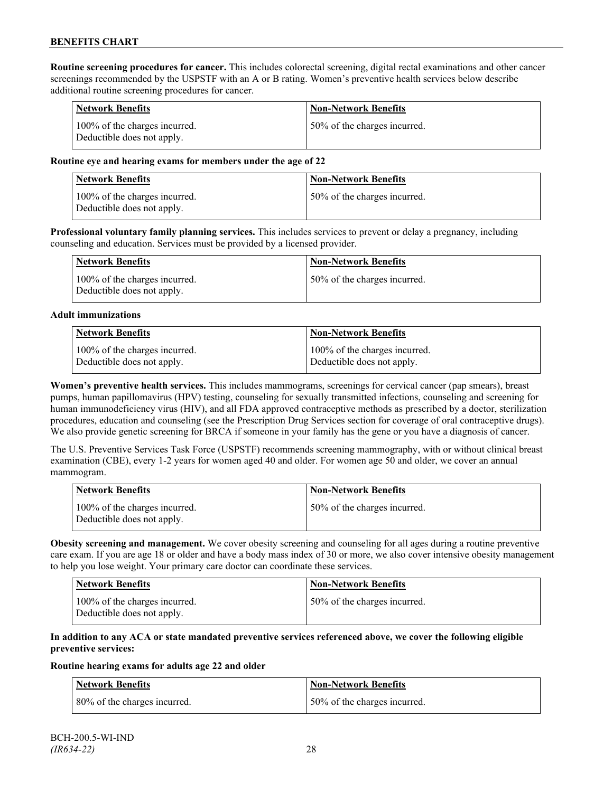**Routine screening procedures for cancer.** This includes colorectal screening, digital rectal examinations and other cancer screenings recommended by the USPSTF with an A or B rating. Women's preventive health services below describe additional routine screening procedures for cancer.

| <b>Network Benefits</b>                                     | <b>Non-Network Benefits</b>  |
|-------------------------------------------------------------|------------------------------|
| 100% of the charges incurred.<br>Deductible does not apply. | 50% of the charges incurred. |

### **Routine eye and hearing exams for members under the age of 22**

| Network Benefits                                            | <b>Non-Network Benefits</b>  |
|-------------------------------------------------------------|------------------------------|
| 100% of the charges incurred.<br>Deductible does not apply. | 50% of the charges incurred. |

**Professional voluntary family planning services.** This includes services to prevent or delay a pregnancy, including counseling and education. Services must be provided by a licensed provider.

| <b>Network Benefits</b>                                     | <b>Non-Network Benefits</b>  |
|-------------------------------------------------------------|------------------------------|
| 100% of the charges incurred.<br>Deductible does not apply. | 50% of the charges incurred. |

#### **Adult immunizations**

| <b>Network Benefits</b>       | <b>Non-Network Benefits</b>   |
|-------------------------------|-------------------------------|
| 100% of the charges incurred. | 100% of the charges incurred. |
| Deductible does not apply.    | Deductible does not apply.    |

**Women's preventive health services.** This includes mammograms, screenings for cervical cancer (pap smears), breast pumps, human papillomavirus (HPV) testing, counseling for sexually transmitted infections, counseling and screening for human immunodeficiency virus (HIV), and all FDA approved contraceptive methods as prescribed by a doctor, sterilization procedures, education and counseling (see the Prescription Drug Services section for coverage of oral contraceptive drugs). We also provide genetic screening for BRCA if someone in your family has the gene or you have a diagnosis of cancer.

The U.S. Preventive Services Task Force (USPSTF) recommends screening mammography, with or without clinical breast examination (CBE), every 1-2 years for women aged 40 and older. For women age 50 and older, we cover an annual mammogram.

| Network Benefits                                            | <b>Non-Network Benefits</b>  |
|-------------------------------------------------------------|------------------------------|
| 100% of the charges incurred.<br>Deductible does not apply. | 50% of the charges incurred. |

**Obesity screening and management.** We cover obesity screening and counseling for all ages during a routine preventive care exam. If you are age 18 or older and have a body mass index of 30 or more, we also cover intensive obesity management to help you lose weight. Your primary care doctor can coordinate these services.

| <b>Network Benefits</b>                                     | <b>Non-Network Benefits</b>  |
|-------------------------------------------------------------|------------------------------|
| 100% of the charges incurred.<br>Deductible does not apply. | 50% of the charges incurred. |

### **In addition to any ACA or state mandated preventive services referenced above, we cover the following eligible preventive services:**

#### **Routine hearing exams for adults age 22 and older**

| <b>Network Benefits</b>       | <b>Non-Network Benefits</b>  |
|-------------------------------|------------------------------|
| 180% of the charges incurred. | 50% of the charges incurred. |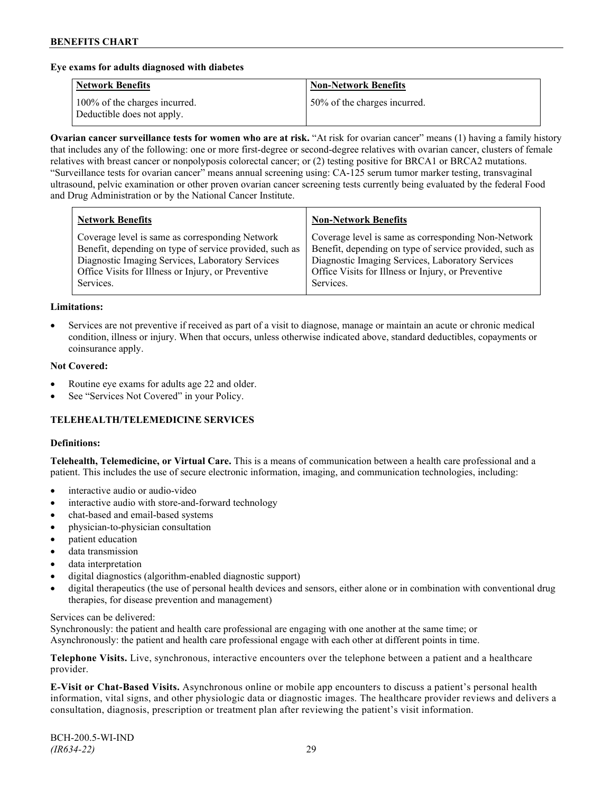### **Eye exams for adults diagnosed with diabetes**

| <b>Network Benefits</b>                                     | <b>Non-Network Benefits</b>  |
|-------------------------------------------------------------|------------------------------|
| 100% of the charges incurred.<br>Deductible does not apply. | 50% of the charges incurred. |

**Ovarian cancer surveillance tests for women who are at risk.** "At risk for ovarian cancer" means (1) having a family history that includes any of the following: one or more first-degree or second-degree relatives with ovarian cancer, clusters of female relatives with breast cancer or nonpolyposis colorectal cancer; or (2) testing positive for BRCA1 or BRCA2 mutations. "Surveillance tests for ovarian cancer" means annual screening using: CA-125 serum tumor marker testing, transvaginal ultrasound, pelvic examination or other proven ovarian cancer screening tests currently being evaluated by the federal Food and Drug Administration or by the National Cancer Institute.

| <b>Network Benefits</b>                                 | <b>Non-Network Benefits</b>                             |
|---------------------------------------------------------|---------------------------------------------------------|
| Coverage level is same as corresponding Network         | Coverage level is same as corresponding Non-Network     |
| Benefit, depending on type of service provided, such as | Benefit, depending on type of service provided, such as |
| Diagnostic Imaging Services, Laboratory Services        | Diagnostic Imaging Services, Laboratory Services        |
| Office Visits for Illness or Injury, or Preventive      | Office Visits for Illness or Injury, or Preventive      |
| Services.                                               | Services.                                               |

#### **Limitations:**

• Services are not preventive if received as part of a visit to diagnose, manage or maintain an acute or chronic medical condition, illness or injury. When that occurs, unless otherwise indicated above, standard deductibles, copayments or coinsurance apply.

### **Not Covered:**

- Routine eye exams for adults age 22 and older.
- See "Services Not Covered" in your Policy.

## **TELEHEALTH/TELEMEDICINE SERVICES**

#### **Definitions:**

**Telehealth, Telemedicine, or Virtual Care.** This is a means of communication between a health care professional and a patient. This includes the use of secure electronic information, imaging, and communication technologies, including:

- interactive audio or audio-video
- interactive audio with store-and-forward technology
- chat-based and email-based systems
- physician-to-physician consultation
- patient education
- data transmission
- data interpretation
- digital diagnostics (algorithm-enabled diagnostic support)
- digital therapeutics (the use of personal health devices and sensors, either alone or in combination with conventional drug therapies, for disease prevention and management)

#### Services can be delivered:

Synchronously: the patient and health care professional are engaging with one another at the same time; or Asynchronously: the patient and health care professional engage with each other at different points in time.

**Telephone Visits.** Live, synchronous, interactive encounters over the telephone between a patient and a healthcare provider.

**E-Visit or Chat-Based Visits.** Asynchronous online or mobile app encounters to discuss a patient's personal health information, vital signs, and other physiologic data or diagnostic images. The healthcare provider reviews and delivers a consultation, diagnosis, prescription or treatment plan after reviewing the patient's visit information.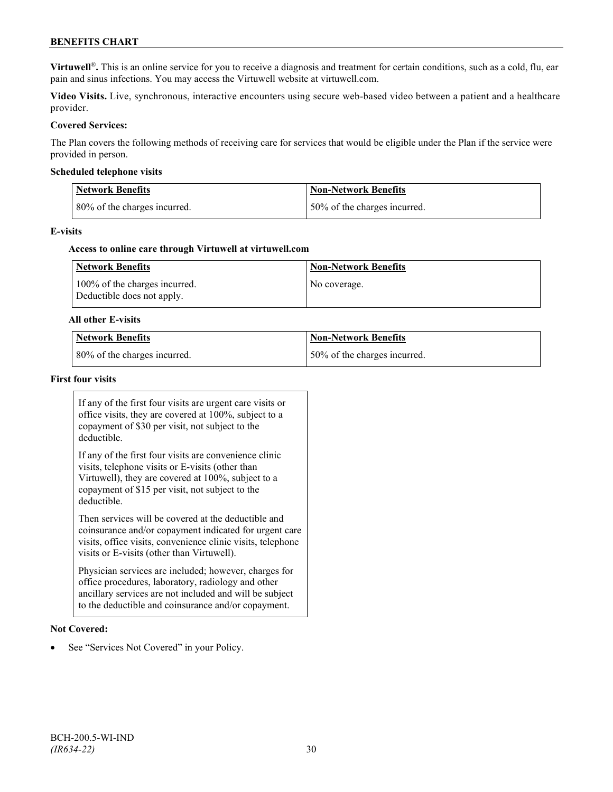## **BENEFITS CHART**

**Virtuwell<sup>®</sup>**. This is an online service for you to receive a diagnosis and treatment for certain conditions, such as a cold, flu, ear pain and sinus infections. You may access the Virtuwell website at [virtuwell.com.](https://www.virtuwell.com/)

**Video Visits.** Live, synchronous, interactive encounters using secure web-based video between a patient and a healthcare provider.

### **Covered Services:**

The Plan covers the following methods of receiving care for services that would be eligible under the Plan if the service were provided in person.

#### **Scheduled telephone visits**

| <b>Network Benefits</b>      | <b>Non-Network Benefits</b>  |
|------------------------------|------------------------------|
| 80% of the charges incurred. | 50% of the charges incurred. |

#### **E-visits**

#### **Access to online care through Virtuwell at [virtuwell.com](http://www.virtuwell.com/)**

| Network Benefits                                            | <b>Non-Network Benefits</b> |
|-------------------------------------------------------------|-----------------------------|
| 100% of the charges incurred.<br>Deductible does not apply. | No coverage.                |

#### **All other E-visits**

| Network Benefits             | Non-Network Benefits         |
|------------------------------|------------------------------|
| 80% of the charges incurred. | 50% of the charges incurred. |

#### **First four visits**

If any of the first four visits are urgent care visits or office visits, they are covered at 100%, subject to a copayment of \$30 per visit, not subject to the deductible.

If any of the first four visits are convenience clinic visits, telephone visits or E-visits (other than Virtuwell), they are covered at 100%, subject to a copayment of \$15 per visit, not subject to the deductible.

Then services will be covered at the deductible and coinsurance and/or copayment indicated for urgent care visits, office visits, convenience clinic visits, telephone visits or E-visits (other than Virtuwell).

Physician services are included; however, charges for office procedures, laboratory, radiology and other ancillary services are not included and will be subject to the deductible and coinsurance and/or copayment.

#### **Not Covered:**

See "Services Not Covered" in your Policy.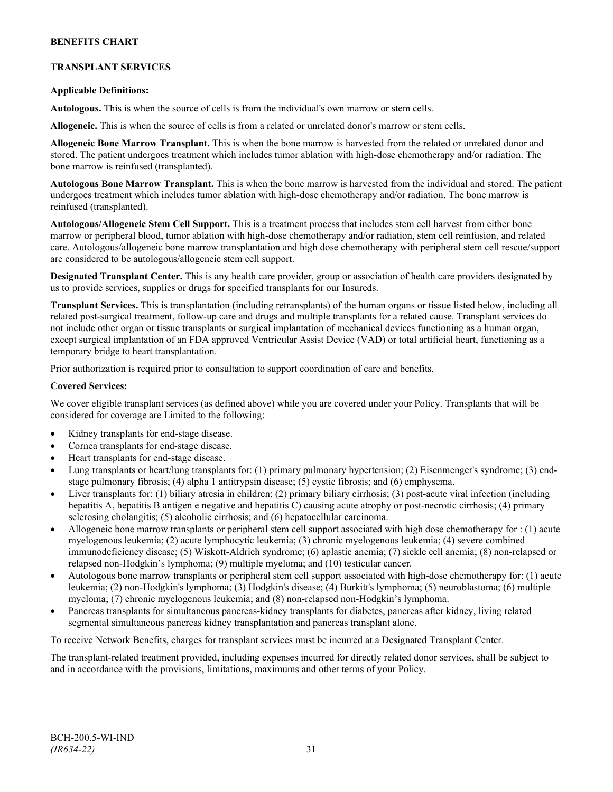## **TRANSPLANT SERVICES**

## **Applicable Definitions:**

**Autologous.** This is when the source of cells is from the individual's own marrow or stem cells.

**Allogeneic.** This is when the source of cells is from a related or unrelated donor's marrow or stem cells.

**Allogeneic Bone Marrow Transplant.** This is when the bone marrow is harvested from the related or unrelated donor and stored. The patient undergoes treatment which includes tumor ablation with high-dose chemotherapy and/or radiation. The bone marrow is reinfused (transplanted).

**Autologous Bone Marrow Transplant.** This is when the bone marrow is harvested from the individual and stored. The patient undergoes treatment which includes tumor ablation with high-dose chemotherapy and/or radiation. The bone marrow is reinfused (transplanted).

**Autologous/Allogeneic Stem Cell Support.** This is a treatment process that includes stem cell harvest from either bone marrow or peripheral blood, tumor ablation with high-dose chemotherapy and/or radiation, stem cell reinfusion, and related care. Autologous/allogeneic bone marrow transplantation and high dose chemotherapy with peripheral stem cell rescue/support are considered to be autologous/allogeneic stem cell support.

**Designated Transplant Center.** This is any health care provider, group or association of health care providers designated by us to provide services, supplies or drugs for specified transplants for our Insureds.

**Transplant Services.** This is transplantation (including retransplants) of the human organs or tissue listed below, including all related post-surgical treatment, follow-up care and drugs and multiple transplants for a related cause. Transplant services do not include other organ or tissue transplants or surgical implantation of mechanical devices functioning as a human organ, except surgical implantation of an FDA approved Ventricular Assist Device (VAD) or total artificial heart, functioning as a temporary bridge to heart transplantation.

Prior authorization is required prior to consultation to support coordination of care and benefits.

#### **Covered Services:**

We cover eligible transplant services (as defined above) while you are covered under your Policy. Transplants that will be considered for coverage are Limited to the following:

- Kidney transplants for end-stage disease.
- Cornea transplants for end-stage disease.
- Heart transplants for end-stage disease.
- Lung transplants or heart/lung transplants for: (1) primary pulmonary hypertension; (2) Eisenmenger's syndrome; (3) endstage pulmonary fibrosis; (4) alpha 1 antitrypsin disease; (5) cystic fibrosis; and (6) emphysema.
- Liver transplants for: (1) biliary atresia in children; (2) primary biliary cirrhosis; (3) post-acute viral infection (including hepatitis A, hepatitis B antigen e negative and hepatitis C) causing acute atrophy or post-necrotic cirrhosis; (4) primary sclerosing cholangitis; (5) alcoholic cirrhosis; and (6) hepatocellular carcinoma.
- Allogeneic bone marrow transplants or peripheral stem cell support associated with high dose chemotherapy for : (1) acute myelogenous leukemia; (2) acute lymphocytic leukemia; (3) chronic myelogenous leukemia; (4) severe combined immunodeficiency disease; (5) Wiskott-Aldrich syndrome; (6) aplastic anemia; (7) sickle cell anemia; (8) non-relapsed or relapsed non-Hodgkin's lymphoma; (9) multiple myeloma; and (10) testicular cancer.
- Autologous bone marrow transplants or peripheral stem cell support associated with high-dose chemotherapy for: (1) acute leukemia; (2) non-Hodgkin's lymphoma; (3) Hodgkin's disease; (4) Burkitt's lymphoma; (5) neuroblastoma; (6) multiple myeloma; (7) chronic myelogenous leukemia; and (8) non-relapsed non-Hodgkin's lymphoma.
- Pancreas transplants for simultaneous pancreas-kidney transplants for diabetes, pancreas after kidney, living related segmental simultaneous pancreas kidney transplantation and pancreas transplant alone.

To receive Network Benefits, charges for transplant services must be incurred at a Designated Transplant Center.

The transplant-related treatment provided, including expenses incurred for directly related donor services, shall be subject to and in accordance with the provisions, limitations, maximums and other terms of your Policy.